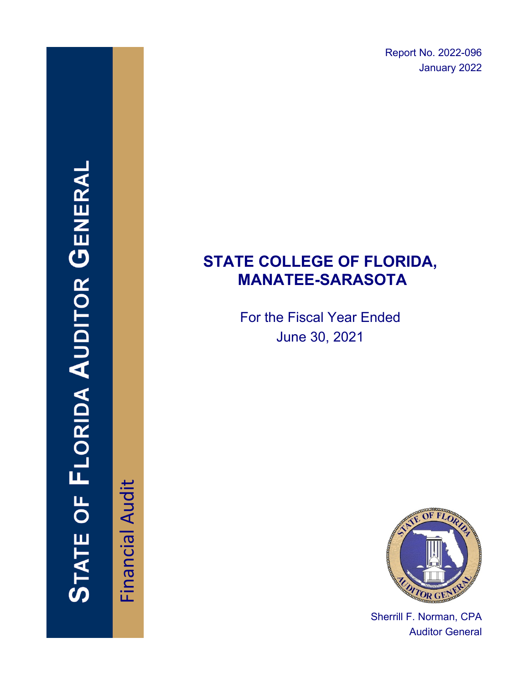Report No. 2022-096 January 2022

## **STATE COLLEGE OF FLORIDA, MANATEE-SARASOTA**

For the Fiscal Year Ended June 30, 2021



Sherrill F. Norman, CPA Auditor General

Financial Audit Financial Audit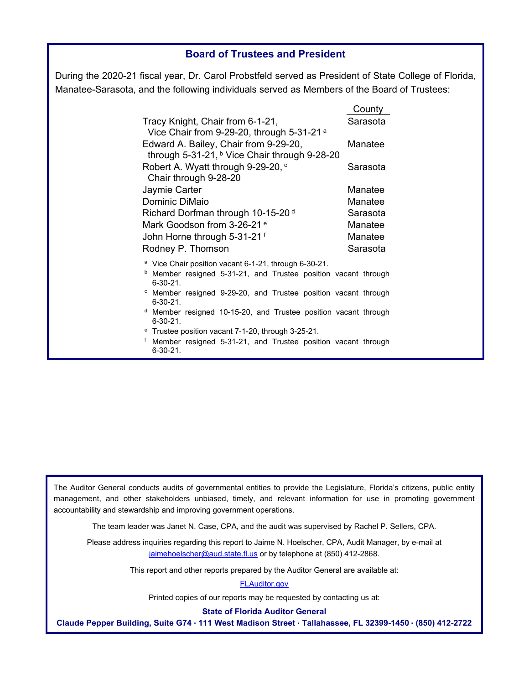#### **Board of Trustees and President**

During the 2020-21 fiscal year, Dr. Carol Probstfeld served as President of State College of Florida, Manatee-Sarasota, and the following individuals served as Members of the Board of Trustees:

|                 |                                                                            | County   |
|-----------------|----------------------------------------------------------------------------|----------|
|                 | Tracy Knight, Chair from 6-1-21,                                           | Sarasota |
|                 | Vice Chair from 9-29-20, through 5-31-21 $a$                               |          |
|                 | Edward A. Bailey, Chair from 9-29-20,                                      | Manatee  |
|                 | through 5-31-21, <sup>b</sup> Vice Chair through 9-28-20                   |          |
|                 | Robert A. Wyatt through 9-29-20, <sup>c</sup>                              | Sarasota |
|                 | Chair through 9-28-20                                                      |          |
| Jaymie Carter   |                                                                            | Manatee  |
|                 | Dominic DiMaio                                                             | Manatee  |
|                 | Richard Dorfman through 10-15-20 <sup>d</sup>                              | Sarasota |
|                 | Mark Goodson from 3-26-21 <sup>e</sup>                                     | Manatee  |
|                 | John Horne through 5-31-21 <sup>f</sup>                                    | Manatee  |
|                 | Rodney P. Thomson                                                          | Sarasota |
|                 | <sup>a</sup> Vice Chair position vacant 6-1-21, through 6-30-21.           |          |
| $6 - 30 - 21$   | <sup>b</sup> Member resigned 5-31-21, and Trustee position vacant through  |          |
| $6 - 30 - 21$ . | <sup>c</sup> Member resigned 9-29-20, and Trustee position vacant through  |          |
| $6 - 30 - 21$ . | <sup>d</sup> Member resigned 10-15-20, and Trustee position vacant through |          |
|                 | <sup>e</sup> Trustee position vacant 7-1-20, through 3-25-21.              |          |
| f.<br>6-30-21.  | Member resigned 5-31-21, and Trustee position vacant through               |          |

The Auditor General conducts audits of governmental entities to provide the Legislature, Florida's citizens, public entity management, and other stakeholders unbiased, timely, and relevant information for use in promoting government accountability and stewardship and improving government operations.

The team leader was Janet N. Case, CPA, and the audit was supervised by Rachel P. Sellers, CPA.

Please address inquiries regarding this report to Jaime N. Hoelscher, CPA, Audit Manager, by e-mail at jaimehoelscher@aud.state.fl.us or by telephone at (850) 412-2868.

This report and other reports prepared by the Auditor General are available at:

[FLAuditor.gov](http://flauditor.gov/) 

Printed copies of our reports may be requested by contacting us at:

**State of Florida Auditor General** 

**Claude Pepper Building, Suite G74 ∙ 111 West Madison Street ∙ Tallahassee, FL 32399-1450 ∙ (850) 412-2722**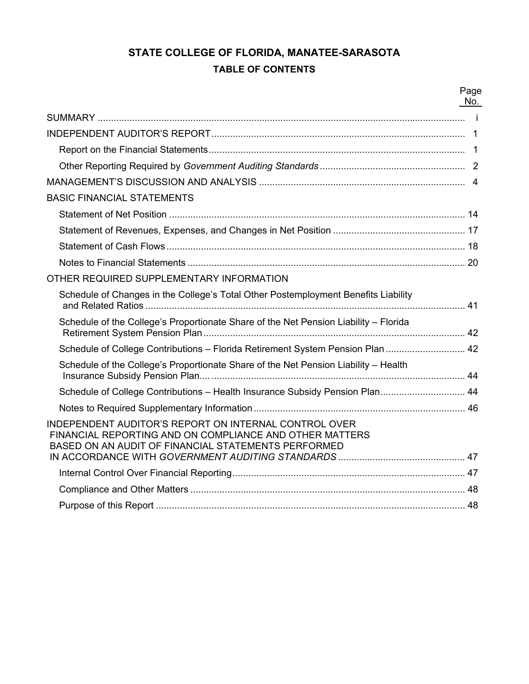## **STATE COLLEGE OF FLORIDA, MANATEE-SARASOTA TABLE OF CONTENTS**

Page

|                                                                                                                                                                         | No. |
|-------------------------------------------------------------------------------------------------------------------------------------------------------------------------|-----|
|                                                                                                                                                                         |     |
|                                                                                                                                                                         |     |
|                                                                                                                                                                         |     |
|                                                                                                                                                                         |     |
|                                                                                                                                                                         |     |
| <b>BASIC FINANCIAL STATEMENTS</b>                                                                                                                                       |     |
|                                                                                                                                                                         |     |
|                                                                                                                                                                         |     |
|                                                                                                                                                                         |     |
|                                                                                                                                                                         |     |
| OTHER REQUIRED SUPPLEMENTARY INFORMATION                                                                                                                                |     |
| Schedule of Changes in the College's Total Other Postemployment Benefits Liability                                                                                      |     |
| Schedule of the College's Proportionate Share of the Net Pension Liability - Florida                                                                                    |     |
| Schedule of College Contributions - Florida Retirement System Pension Plan  42                                                                                          |     |
| Schedule of the College's Proportionate Share of the Net Pension Liability - Health                                                                                     |     |
| Schedule of College Contributions - Health Insurance Subsidy Pension Plan 44                                                                                            |     |
|                                                                                                                                                                         |     |
| INDEPENDENT AUDITOR'S REPORT ON INTERNAL CONTROL OVER<br>FINANCIAL REPORTING AND ON COMPLIANCE AND OTHER MATTERS<br>BASED ON AN AUDIT OF FINANCIAL STATEMENTS PERFORMED |     |
|                                                                                                                                                                         |     |
|                                                                                                                                                                         |     |
|                                                                                                                                                                         |     |
|                                                                                                                                                                         |     |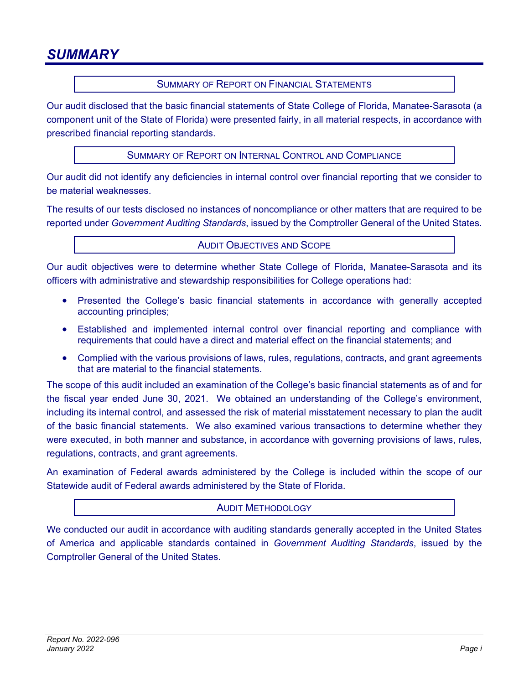#### SUMMARY OF REPORT ON FINANCIAL STATEMENTS

<span id="page-3-0"></span>Our audit disclosed that the basic financial statements of State College of Florida, Manatee-Sarasota (a component unit of the State of Florida) were presented fairly, in all material respects, in accordance with prescribed financial reporting standards.

SUMMARY OF REPORT ON INTERNAL CONTROL AND COMPLIANCE

Our audit did not identify any deficiencies in internal control over financial reporting that we consider to be material weaknesses.

The results of our tests disclosed no instances of noncompliance or other matters that are required to be reported under *Government Auditing Standards*, issued by the Comptroller General of the United States.

#### AUDIT OBJECTIVES AND SCOPE

Our audit objectives were to determine whether State College of Florida, Manatee-Sarasota and its officers with administrative and stewardship responsibilities for College operations had:

- Presented the College's basic financial statements in accordance with generally accepted accounting principles;
- Established and implemented internal control over financial reporting and compliance with requirements that could have a direct and material effect on the financial statements; and
- Complied with the various provisions of laws, rules, regulations, contracts, and grant agreements that are material to the financial statements.

The scope of this audit included an examination of the College's basic financial statements as of and for the fiscal year ended June 30, 2021. We obtained an understanding of the College's environment, including its internal control, and assessed the risk of material misstatement necessary to plan the audit of the basic financial statements. We also examined various transactions to determine whether they were executed, in both manner and substance, in accordance with governing provisions of laws, rules, regulations, contracts, and grant agreements.

An examination of Federal awards administered by the College is included within the scope of our Statewide audit of Federal awards administered by the State of Florida.

## AUDIT METHODOLOGY

We conducted our audit in accordance with auditing standards generally accepted in the United States of America and applicable standards contained in *Government Auditing Standards*, issued by the Comptroller General of the United States.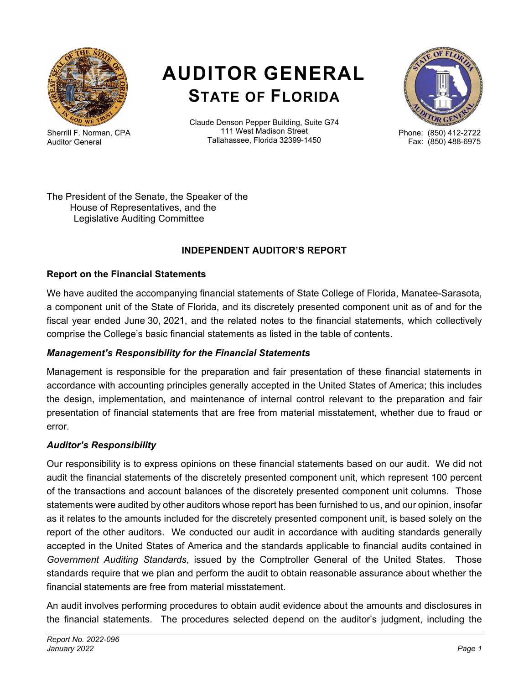<span id="page-4-0"></span>

Sherrill F. Norman, CPA Auditor General

# **AUDITOR GENERAL STATE OF FLORIDA**

Claude Denson Pepper Building, Suite G74 111 West Madison Street Tallahassee, Florida 32399-1450



Phone: (850) 412-2722 Fax: (850) 488-6975

The President of the Senate, the Speaker of the House of Representatives, and the Legislative Auditing Committee

## **INDEPENDENT AUDITOR'S REPORT**

## **Report on the Financial Statements**

We have audited the accompanying financial statements of State College of Florida, Manatee-Sarasota, a component unit of the State of Florida, and its discretely presented component unit as of and for the fiscal year ended June 30, 2021, and the related notes to the financial statements, which collectively comprise the College's basic financial statements as listed in the table of contents.

## *Management's Responsibility for the Financial Statements*

Management is responsible for the preparation and fair presentation of these financial statements in accordance with accounting principles generally accepted in the United States of America; this includes the design, implementation, and maintenance of internal control relevant to the preparation and fair presentation of financial statements that are free from material misstatement, whether due to fraud or error.

## *Auditor's Responsibility*

Our responsibility is to express opinions on these financial statements based on our audit. We did not audit the financial statements of the discretely presented component unit, which represent 100 percent of the transactions and account balances of the discretely presented component unit columns. Those statements were audited by other auditors whose report has been furnished to us, and our opinion, insofar as it relates to the amounts included for the discretely presented component unit, is based solely on the report of the other auditors. We conducted our audit in accordance with auditing standards generally accepted in the United States of America and the standards applicable to financial audits contained in *Government Auditing Standards*, issued by the Comptroller General of the United States. Those standards require that we plan and perform the audit to obtain reasonable assurance about whether the financial statements are free from material misstatement.

An audit involves performing procedures to obtain audit evidence about the amounts and disclosures in the financial statements. The procedures selected depend on the auditor's judgment, including the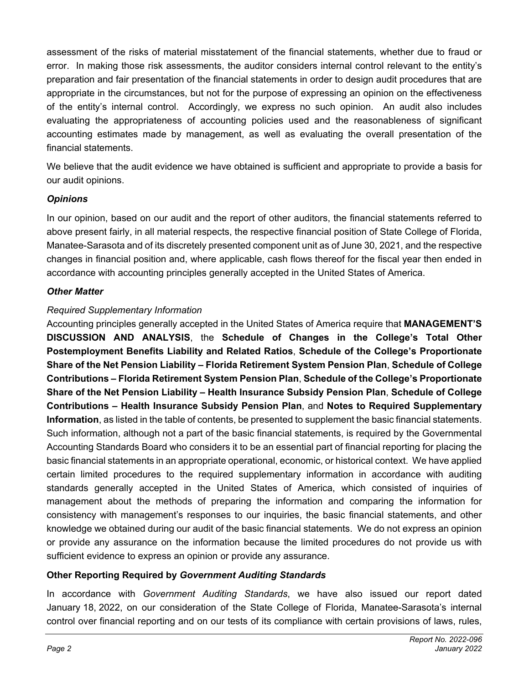<span id="page-5-0"></span>assessment of the risks of material misstatement of the financial statements, whether due to fraud or error. In making those risk assessments, the auditor considers internal control relevant to the entity's preparation and fair presentation of the financial statements in order to design audit procedures that are appropriate in the circumstances, but not for the purpose of expressing an opinion on the effectiveness of the entity's internal control. Accordingly, we express no such opinion. An audit also includes evaluating the appropriateness of accounting policies used and the reasonableness of significant accounting estimates made by management, as well as evaluating the overall presentation of the financial statements.

We believe that the audit evidence we have obtained is sufficient and appropriate to provide a basis for our audit opinions.

## *Opinions*

In our opinion, based on our audit and the report of other auditors, the financial statements referred to above present fairly, in all material respects, the respective financial position of State College of Florida, Manatee-Sarasota and of its discretely presented component unit as of June 30, 2021, and the respective changes in financial position and, where applicable, cash flows thereof for the fiscal year then ended in accordance with accounting principles generally accepted in the United States of America.

## *Other Matter*

## *Required Supplementary Information*

Accounting principles generally accepted in the United States of America require that **MANAGEMENT'S DISCUSSION AND ANALYSIS**, the **Schedule of Changes in the College's Total Other Postemployment Benefits Liability and Related Ratios**, **Schedule of the College's Proportionate Share of the Net Pension Liability – Florida Retirement System Pension Plan**, **Schedule of College Contributions – Florida Retirement System Pension Plan**, **Schedule of the College's Proportionate Share of the Net Pension Liability – Health Insurance Subsidy Pension Plan**, **Schedule of College Contributions – Health Insurance Subsidy Pension Plan**, and **Notes to Required Supplementary Information**, as listed in the table of contents, be presented to supplement the basic financial statements. Such information, although not a part of the basic financial statements, is required by the Governmental Accounting Standards Board who considers it to be an essential part of financial reporting for placing the basic financial statements in an appropriate operational, economic, or historical context. We have applied certain limited procedures to the required supplementary information in accordance with auditing standards generally accepted in the United States of America, which consisted of inquiries of management about the methods of preparing the information and comparing the information for consistency with management's responses to our inquiries, the basic financial statements, and other knowledge we obtained during our audit of the basic financial statements. We do not express an opinion or provide any assurance on the information because the limited procedures do not provide us with sufficient evidence to express an opinion or provide any assurance.

## **Other Reporting Required by** *Government Auditing Standards*

In accordance with *Government Auditing Standards*, we have also issued our report dated January 18, 2022, on our consideration of the State College of Florida, Manatee-Sarasota's internal control over financial reporting and on our tests of its compliance with certain provisions of laws, rules,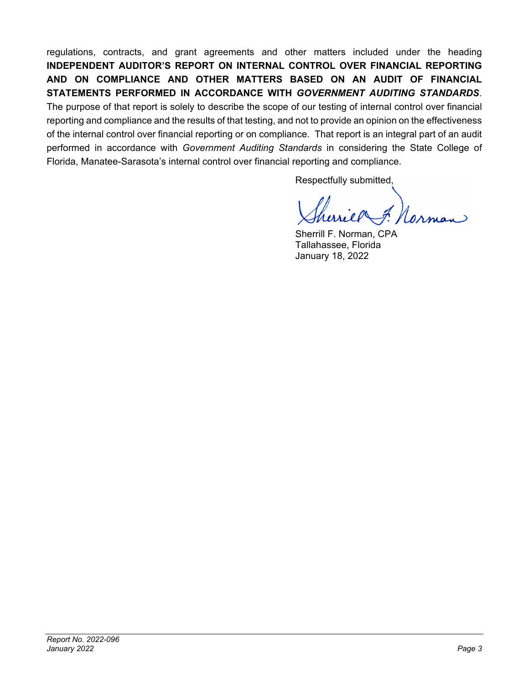regulations, contracts, and grant agreements and other matters included under the heading **INDEPENDENT AUDITOR'S REPORT ON INTERNAL CONTROL OVER FINANCIAL REPORTING AND ON COMPLIANCE AND OTHER MATTERS BASED ON AN AUDIT OF FINANCIAL STATEMENTS PERFORMED IN ACCORDANCE WITH** *GOVERNMENT AUDITING STANDARDS*. The purpose of that report is solely to describe the scope of our testing of internal control over financial reporting and compliance and the results of that testing, and not to provide an opinion on the effectiveness of the internal control over financial reporting or on compliance. That report is an integral part of an audit performed in accordance with *Government Auditing Standards* in considering the State College of Florida, Manatee-Sarasota's internal control over financial reporting and compliance.

Respectfully submitted,

Sherrill F. Norman, CPA Tallahassee, Florida January 18, 2022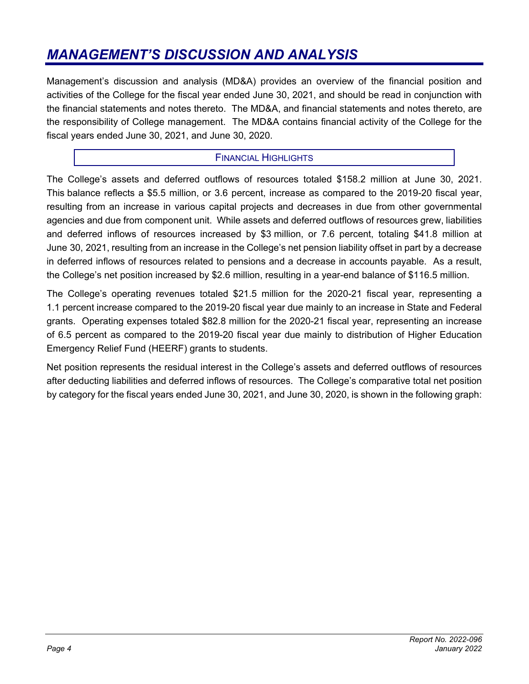## <span id="page-7-0"></span>*MANAGEMENT'S DISCUSSION AND ANALYSIS*

Management's discussion and analysis (MD&A) provides an overview of the financial position and activities of the College for the fiscal year ended June 30, 2021, and should be read in conjunction with the financial statements and notes thereto. The MD&A, and financial statements and notes thereto, are the responsibility of College management. The MD&A contains financial activity of the College for the fiscal years ended June 30, 2021, and June 30, 2020.

## FINANCIAL HIGHLIGHTS

The College's assets and deferred outflows of resources totaled \$158.2 million at June 30, 2021. This balance reflects a \$5.5 million, or 3.6 percent, increase as compared to the 2019-20 fiscal year, resulting from an increase in various capital projects and decreases in due from other governmental agencies and due from component unit. While assets and deferred outflows of resources grew, liabilities and deferred inflows of resources increased by \$3 million, or 7.6 percent, totaling \$41.8 million at June 30, 2021, resulting from an increase in the College's net pension liability offset in part by a decrease in deferred inflows of resources related to pensions and a decrease in accounts payable. As a result, the College's net position increased by \$2.6 million, resulting in a year-end balance of \$116.5 million.

The College's operating revenues totaled \$21.5 million for the 2020-21 fiscal year, representing a 1.1 percent increase compared to the 2019-20 fiscal year due mainly to an increase in State and Federal grants. Operating expenses totaled \$82.8 million for the 2020-21 fiscal year, representing an increase of 6.5 percent as compared to the 2019-20 fiscal year due mainly to distribution of Higher Education Emergency Relief Fund (HEERF) grants to students.

Net position represents the residual interest in the College's assets and deferred outflows of resources after deducting liabilities and deferred inflows of resources. The College's comparative total net position by category for the fiscal years ended June 30, 2021, and June 30, 2020, is shown in the following graph: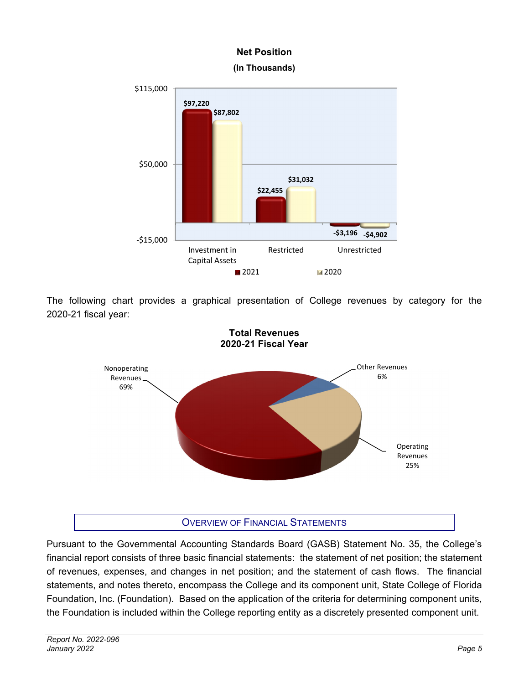## **Net Position (In Thousands)**



The following chart provides a graphical presentation of College revenues by category for the 2020-21 fiscal year:



## OVERVIEW OF FINANCIAL STATEMENTS

Pursuant to the Governmental Accounting Standards Board (GASB) Statement No. 35, the College's financial report consists of three basic financial statements: the statement of net position; the statement of revenues, expenses, and changes in net position; and the statement of cash flows. The financial statements, and notes thereto, encompass the College and its component unit, State College of Florida Foundation, Inc. (Foundation). Based on the application of the criteria for determining component units, the Foundation is included within the College reporting entity as a discretely presented component unit.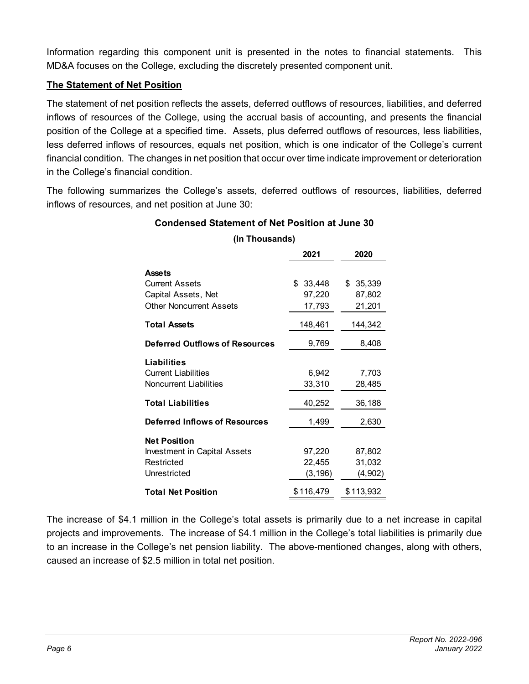Information regarding this component unit is presented in the notes to financial statements. This MD&A focuses on the College, excluding the discretely presented component unit.

## **The Statement of Net Position**

The statement of net position reflects the assets, deferred outflows of resources, liabilities, and deferred inflows of resources of the College, using the accrual basis of accounting, and presents the financial position of the College at a specified time. Assets, plus deferred outflows of resources, less liabilities, less deferred inflows of resources, equals net position, which is one indicator of the College's current financial condition. The changes in net position that occur over time indicate improvement or deterioration in the College's financial condition.

The following summarizes the College's assets, deferred outflows of resources, liabilities, deferred inflows of resources, and net position at June 30:

|                                       | 2021      | 2020      |
|---------------------------------------|-----------|-----------|
| Assets                                |           |           |
| <b>Current Assets</b>                 | \$33,448  | \$35,339  |
| Capital Assets, Net                   | 97,220    | 87,802    |
| <b>Other Noncurrent Assets</b>        | 17,793    | 21,201    |
| <b>Total Assets</b>                   | 148,461   | 144,342   |
| <b>Deferred Outflows of Resources</b> | 9,769     | 8,408     |
| Liabilities                           |           |           |
| <b>Current Liabilities</b>            | 6,942     | 7,703     |
| <b>Noncurrent Liabilities</b>         | 33,310    | 28,485    |
| Total Liabilities                     | 40,252    | 36,188    |
| Deferred Inflows of Resources         | 1,499     | 2,630     |
| <b>Net Position</b>                   |           |           |
| Investment in Capital Assets          | 97,220    | 87,802    |
| Restricted                            | 22,455    | 31,032    |
| Unrestricted                          | (3, 196)  | (4,902)   |
| Total Net Position                    | \$116,479 | \$113,932 |

## **Condensed Statement of Net Position at June 30**

**(In Thousands)** 

The increase of \$4.1 million in the College's total assets is primarily due to a net increase in capital projects and improvements. The increase of \$4.1 million in the College's total liabilities is primarily due to an increase in the College's net pension liability. The above-mentioned changes, along with others, caused an increase of \$2.5 million in total net position.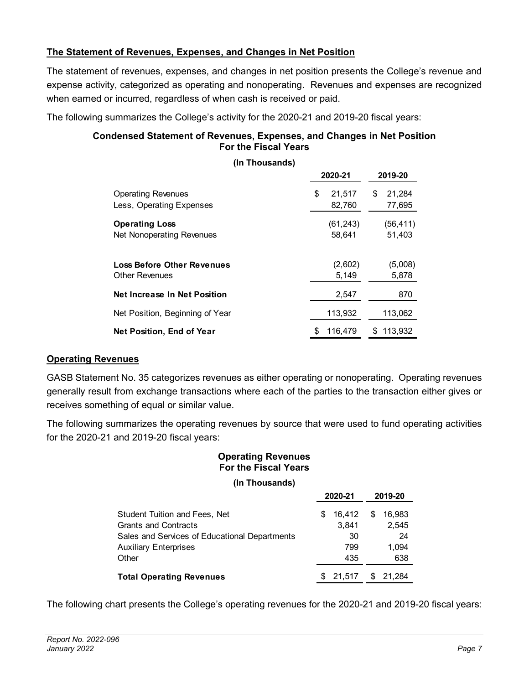## **The Statement of Revenues, Expenses, and Changes in Net Position**

The statement of revenues, expenses, and changes in net position presents the College's revenue and expense activity, categorized as operating and nonoperating. Revenues and expenses are recognized when earned or incurred, regardless of when cash is received or paid.

The following summarizes the College's activity for the 2020-21 and 2019-20 fiscal years:

## **Condensed Statement of Revenues, Expenses, and Changes in Net Position For the Fiscal Years**

| (In Thousands)                                             |                     |                  |                    |                  |  |  |
|------------------------------------------------------------|---------------------|------------------|--------------------|------------------|--|--|
|                                                            | 2020-21             |                  |                    | 2019-20          |  |  |
| <b>Operating Revenues</b><br>Less, Operating Expenses      | \$                  | 21,517<br>82,760 | \$                 | 21,284<br>77,695 |  |  |
| <b>Operating Loss</b><br>Net Nonoperating Revenues         | (61, 243)<br>58,641 |                  | (56,411)<br>51,403 |                  |  |  |
| <b>Loss Before Other Revenues</b><br><b>Other Revenues</b> |                     | (2,602)<br>5,149 |                    | (5,008)<br>5,878 |  |  |
| <b>Net Increase In Net Position</b>                        |                     | 2,547            |                    | 870              |  |  |
| Net Position, Beginning of Year                            |                     | 113,932          |                    | 113,062          |  |  |
| <b>Net Position, End of Year</b>                           |                     | 116,479          | S                  | 113,932          |  |  |

## **Operating Revenues**

GASB Statement No. 35 categorizes revenues as either operating or nonoperating. Operating revenues generally result from exchange transactions where each of the parties to the transaction either gives or receives something of equal or similar value.

The following summarizes the operating revenues by source that were used to fund operating activities for the 2020-21 and 2019-20 fiscal years:

## **Operating Revenues For the Fiscal Years**

#### **(In Thousands)**

|                                               | 2020-21 |           | 2019-20 |          |
|-----------------------------------------------|---------|-----------|---------|----------|
| Student Tuition and Fees, Net                 | S.      | 16.412    | \$      | 16.983   |
| Grants and Contracts                          |         | 3.841     |         | 2.545    |
| Sales and Services of Educational Departments |         | 30        |         | 24       |
| <b>Auxiliary Enterprises</b>                  |         | 799       |         | 1.094    |
| Other                                         |         | 435       |         | 638      |
| <b>Total Operating Revenues</b>               |         | \$ 21.517 |         | \$21,284 |

The following chart presents the College's operating revenues for the 2020-21 and 2019-20 fiscal years: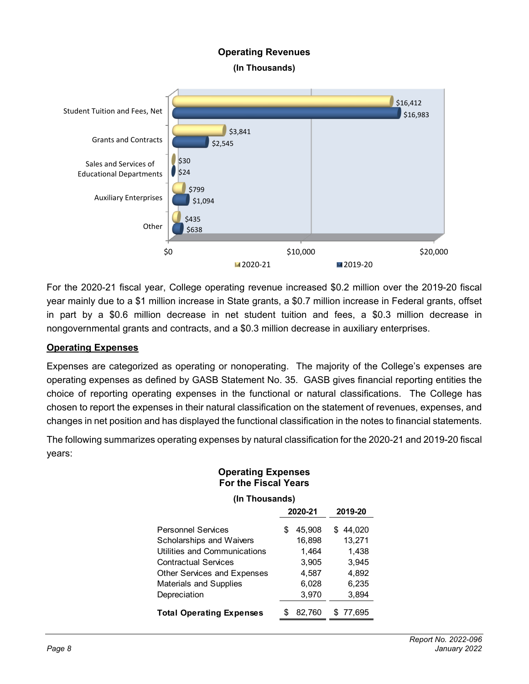## **Operating Revenues (In Thousands)**



For the 2020-21 fiscal year, College operating revenue increased \$0.2 million over the 2019-20 fiscal year mainly due to a \$1 million increase in State grants, a \$0.7 million increase in Federal grants, offset in part by a \$0.6 million decrease in net student tuition and fees, a \$0.3 million decrease in nongovernmental grants and contracts, and a \$0.3 million decrease in auxiliary enterprises.

#### **Operating Expenses**

Expenses are categorized as operating or nonoperating. The majority of the College's expenses are operating expenses as defined by GASB Statement No. 35. GASB gives financial reporting entities the choice of reporting operating expenses in the functional or natural classifications. The College has chosen to report the expenses in their natural classification on the statement of revenues, expenses, and changes in net position and has displayed the functional classification in the notes to financial statements.

The following summarizes operating expenses by natural classification for the 2020-21 and 2019-20 fiscal years:

#### **Operating Expenses For the Fiscal Years**

#### **(In Thousands)**

|                                    | 2020-21 |        | 2019-20      |
|------------------------------------|---------|--------|--------------|
| <b>Personnel Services</b>          | \$      | 45,908 | 44.020<br>S. |
| Scholarships and Waivers           |         | 16,898 | 13,271       |
| Utilities and Communications       |         | 1,464  | 1,438        |
| <b>Contractual Services</b>        |         | 3,905  | 3,945        |
| <b>Other Services and Expenses</b> |         | 4,587  | 4,892        |
| <b>Materials and Supplies</b>      |         | 6,028  | 6,235        |
| Depreciation                       |         | 3,970  | 3,894        |
| <b>Total Operating Expenses</b>    |         | 82,760 | 77,695<br>S  |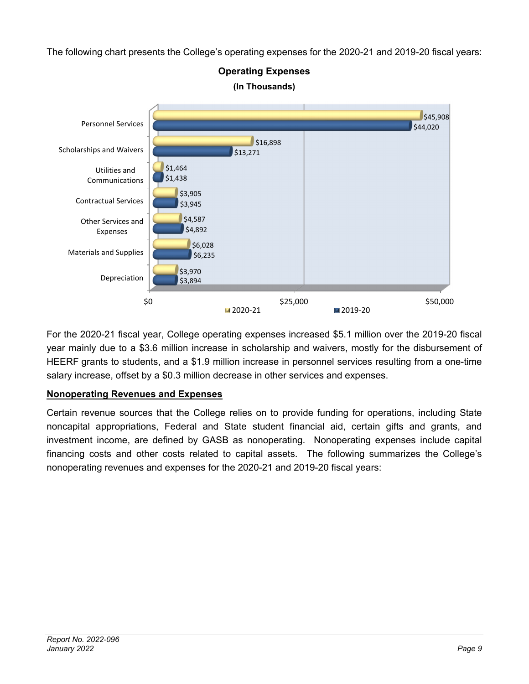The following chart presents the College's operating expenses for the 2020-21 and 2019-20 fiscal years:



For the 2020-21 fiscal year, College operating expenses increased \$5.1 million over the 2019-20 fiscal year mainly due to a \$3.6 million increase in scholarship and waivers, mostly for the disbursement of HEERF grants to students, and a \$1.9 million increase in personnel services resulting from a one-time salary increase, offset by a \$0.3 million decrease in other services and expenses.

## **Nonoperating Revenues and Expenses**

Certain revenue sources that the College relies on to provide funding for operations, including State noncapital appropriations, Federal and State student financial aid, certain gifts and grants, and investment income, are defined by GASB as nonoperating. Nonoperating expenses include capital financing costs and other costs related to capital assets. The following summarizes the College's nonoperating revenues and expenses for the 2020-21 and 2019-20 fiscal years: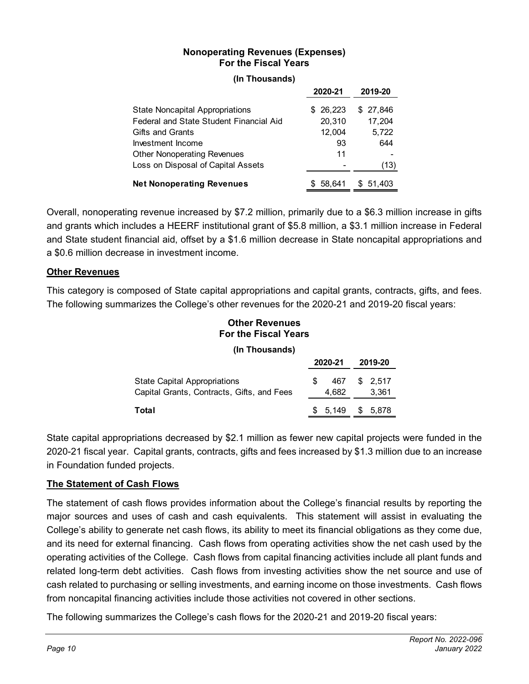#### **Nonoperating Revenues (Expenses) For the Fiscal Years**

|                                         | 2020-21  | 2019-20  |
|-----------------------------------------|----------|----------|
| State Noncapital Appropriations         | \$26,223 | \$27,846 |
| Federal and State Student Financial Aid | 20,310   | 17,204   |
| Gifts and Grants                        | 12,004   | 5,722    |
| Investment Income                       | 93       | 644      |
| <b>Other Nonoperating Revenues</b>      | 11       |          |
| Loss on Disposal of Capital Assets      |          | (13)     |
| <b>Net Nonoperating Revenues</b>        | \$58,641 | \$51,403 |

#### **(In Thousands)**

Overall, nonoperating revenue increased by \$7.2 million, primarily due to a \$6.3 million increase in gifts and grants which includes a HEERF institutional grant of \$5.8 million, a \$3.1 million increase in Federal and State student financial aid, offset by a \$1.6 million decrease in State noncapital appropriations and a \$0.6 million decrease in investment income.

#### **Other Revenues**

This category is composed of State capital appropriations and capital grants, contracts, gifts, and fees. The following summarizes the College's other revenues for the 2020-21 and 2019-20 fiscal years:

## **Other Revenues For the Fiscal Years**

#### **(In Thousands)**

|                                                                                   |     | 2020-21 | 2019-20 |                       |
|-----------------------------------------------------------------------------------|-----|---------|---------|-----------------------|
| <b>State Capital Appropriations</b><br>Capital Grants, Contracts, Gifts, and Fees | SS. | 4,682   |         | 467 \$ 2.517<br>3,361 |
| Total                                                                             |     | \$5,149 |         | \$ 5,878              |

State capital appropriations decreased by \$2.1 million as fewer new capital projects were funded in the 2020-21 fiscal year. Capital grants, contracts, gifts and fees increased by \$1.3 million due to an increase in Foundation funded projects.

## **The Statement of Cash Flows**

The statement of cash flows provides information about the College's financial results by reporting the major sources and uses of cash and cash equivalents. This statement will assist in evaluating the College's ability to generate net cash flows, its ability to meet its financial obligations as they come due, and its need for external financing. Cash flows from operating activities show the net cash used by the operating activities of the College. Cash flows from capital financing activities include all plant funds and related long-term debt activities. Cash flows from investing activities show the net source and use of cash related to purchasing or selling investments, and earning income on those investments. Cash flows from noncapital financing activities include those activities not covered in other sections.

The following summarizes the College's cash flows for the 2020-21 and 2019-20 fiscal years: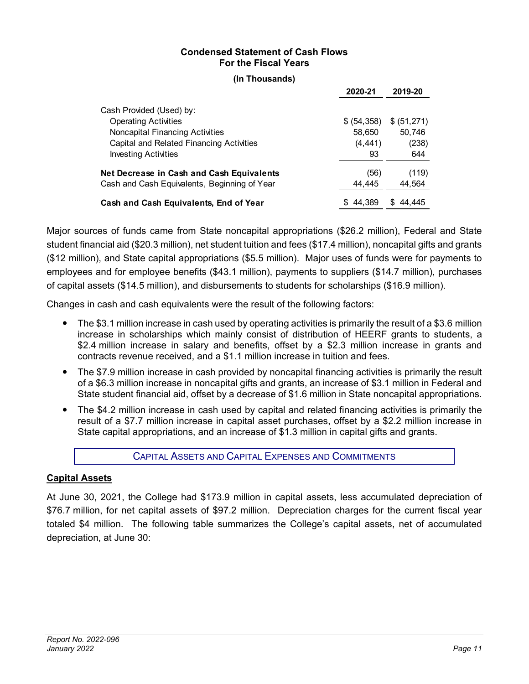#### **Condensed Statement of Cash Flows For the Fiscal Years**

**(In Thousands)** 

**2020-21 2019-20**

|                                                                                                                                                                                     | LULU-L I                                 | 2013-20                               |
|-------------------------------------------------------------------------------------------------------------------------------------------------------------------------------------|------------------------------------------|---------------------------------------|
| Cash Provided (Used) by:<br><b>Operating Activities</b><br><b>Noncapital Financing Activities</b><br><b>Capital and Related Financing Activities</b><br><b>Investing Activities</b> | \$ (54, 358)<br>58.650<br>(4, 441)<br>93 | \$ (51,271)<br>50.746<br>(238)<br>644 |
| Net Decrease in Cash and Cash Equivalents<br>Cash and Cash Equivalents, Beginning of Year                                                                                           | (56)<br>44.445                           | (119)<br>44,564                       |
| Cash and Cash Equivalents, End of Year                                                                                                                                              | \$44.389                                 | 44.445<br>SS.                         |

Major sources of funds came from State noncapital appropriations (\$26.2 million), Federal and State student financial aid (\$20.3 million), net student tuition and fees (\$17.4 million), noncapital gifts and grants (\$12 million), and State capital appropriations (\$5.5 million). Major uses of funds were for payments to employees and for employee benefits (\$43.1 million), payments to suppliers (\$14.7 million), purchases of capital assets (\$14.5 million), and disbursements to students for scholarships (\$16.9 million).

Changes in cash and cash equivalents were the result of the following factors:

- The \$3.1 million increase in cash used by operating activities is primarily the result of a \$3.6 million increase in scholarships which mainly consist of distribution of HEERF grants to students, a \$2.4 million increase in salary and benefits, offset by a \$2.3 million increase in grants and contracts revenue received, and a \$1.1 million increase in tuition and fees.
- The \$7.9 million increase in cash provided by noncapital financing activities is primarily the result of a \$6.3 million increase in noncapital gifts and grants, an increase of \$3.1 million in Federal and State student financial aid, offset by a decrease of \$1.6 million in State noncapital appropriations.
- The \$4.2 million increase in cash used by capital and related financing activities is primarily the result of a \$7.7 million increase in capital asset purchases, offset by a \$2.2 million increase in State capital appropriations, and an increase of \$1.3 million in capital gifts and grants.

CAPITAL ASSETS AND CAPITAL EXPENSES AND COMMITMENTS

## **Capital Assets**

At June 30, 2021, the College had \$173.9 million in capital assets, less accumulated depreciation of \$76.7 million, for net capital assets of \$97.2 million. Depreciation charges for the current fiscal year totaled \$4 million. The following table summarizes the College's capital assets, net of accumulated depreciation, at June 30: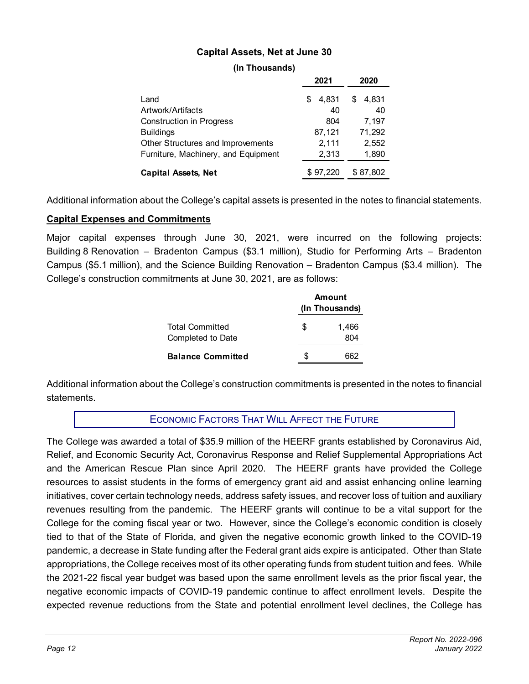## **Capital Assets, Net at June 30**

|                                     | 2021        | 2020        |
|-------------------------------------|-------------|-------------|
| Land                                | 4,831<br>\$ | 4,831<br>\$ |
| Artwork/Artifacts                   | 40          | 40          |
| <b>Construction in Progress</b>     | 804         | 7,197       |
| <b>Buildings</b>                    | 87,121      | 71,292      |
| Other Structures and Improvements   | 2,111       | 2,552       |
| Furniture, Machinery, and Equipment | 2,313       | 1,890       |
| <b>Capital Assets, Net</b>          | \$97,220    | \$87,802    |

#### **(In Thousands)**

Additional information about the College's capital assets is presented in the notes to financial statements.

#### **Capital Expenses and Commitments**

Major capital expenses through June 30, 2021, were incurred on the following projects: Building 8 Renovation – Bradenton Campus (\$3.1 million), Studio for Performing Arts – Bradenton Campus (\$5.1 million), and the Science Building Renovation – Bradenton Campus (\$3.4 million). The College's construction commitments at June 30, 2021, are as follows:

|                                             | <b>Amount</b><br>(In Thousands) |              |  |
|---------------------------------------------|---------------------------------|--------------|--|
| <b>Total Committed</b><br>Completed to Date | \$                              | 1,466<br>804 |  |
| <b>Balance Committed</b>                    |                                 |              |  |

Additional information about the College's construction commitments is presented in the notes to financial statements.

ECONOMIC FACTORS THAT WILL AFFECT THE FUTURE

The College was awarded a total of \$35.9 million of the HEERF grants established by Coronavirus Aid, Relief, and Economic Security Act, Coronavirus Response and Relief Supplemental Appropriations Act and the American Rescue Plan since April 2020. The HEERF grants have provided the College resources to assist students in the forms of emergency grant aid and assist enhancing online learning initiatives, cover certain technology needs, address safety issues, and recover loss of tuition and auxiliary revenues resulting from the pandemic. The HEERF grants will continue to be a vital support for the College for the coming fiscal year or two. However, since the College's economic condition is closely tied to that of the State of Florida, and given the negative economic growth linked to the COVID-19 pandemic, a decrease in State funding after the Federal grant aids expire is anticipated. Other than State appropriations, the College receives most of its other operating funds from student tuition and fees. While the 2021-22 fiscal year budget was based upon the same enrollment levels as the prior fiscal year, the negative economic impacts of COVID-19 pandemic continue to affect enrollment levels. Despite the expected revenue reductions from the State and potential enrollment level declines, the College has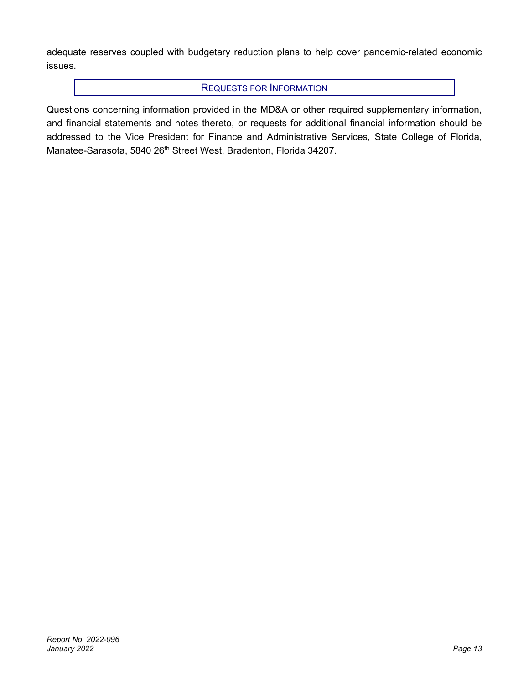adequate reserves coupled with budgetary reduction plans to help cover pandemic-related economic issues.

## REQUESTS FOR INFORMATION

Questions concerning information provided in the MD&A or other required supplementary information, and financial statements and notes thereto, or requests for additional financial information should be addressed to the Vice President for Finance and Administrative Services, State College of Florida, Manatee-Sarasota, 5840 26<sup>th</sup> Street West, Bradenton, Florida 34207.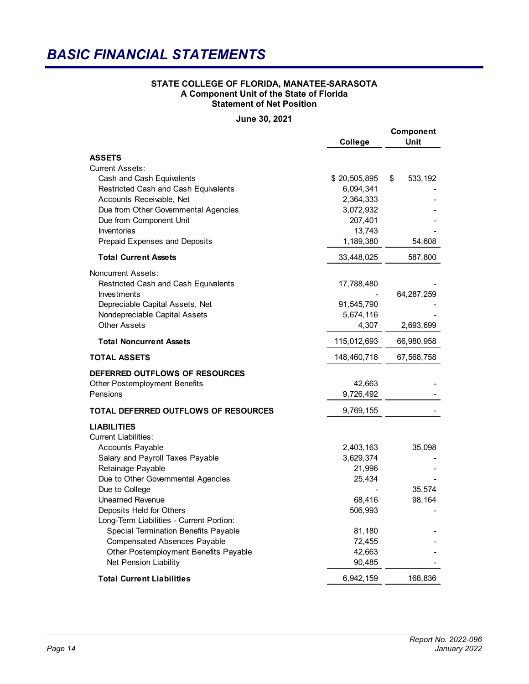## <span id="page-17-0"></span>*BASIC FINANCIAL STATEMENTS*

#### **STATE COLLEGE OF FLORIDA, MANATEE-SARASOTA A Component Unit of the State of Florida Statement of Net Position**

**June 30, 2021** 

|                                                                      | College      | <b>Component</b><br>Unit |  |
|----------------------------------------------------------------------|--------------|--------------------------|--|
| <b>ASSETS</b>                                                        |              |                          |  |
| <b>Current Assets:</b>                                               |              |                          |  |
| Cash and Cash Equivalents                                            | \$20,505,895 | 533,192<br>\$            |  |
| Restricted Cash and Cash Equivalents                                 | 6,094,341    |                          |  |
| Accounts Receivable, Net                                             | 2,364,333    |                          |  |
| Due from Other Governmental Agencies                                 | 3,072,932    |                          |  |
| Due from Component Unit                                              | 207,401      |                          |  |
| Inventories                                                          | 13,743       |                          |  |
| <b>Prepaid Expenses and Deposits</b>                                 | 1,189,380    | 54,608                   |  |
| <b>Total Current Assets</b>                                          | 33,448,025   | 587,800                  |  |
| <b>Noncurrent Assets:</b>                                            |              |                          |  |
| Restricted Cash and Cash Equivalents                                 | 17,788,480   |                          |  |
| <b>Investments</b>                                                   |              | 64,287,259               |  |
| Depreciable Capital Assets, Net                                      | 91,545,790   |                          |  |
| Nondepreciable Capital Assets                                        | 5,674,116    |                          |  |
| <b>Other Assets</b>                                                  | 4,307        | 2,693,699                |  |
| <b>Total Noncurrent Assets</b>                                       | 115,012,693  | 66,980,958               |  |
| <b>TOTAL ASSETS</b>                                                  | 148,460,718  | 67,568,758               |  |
| DEFERRED OUTFLOWS OF RESOURCES                                       |              |                          |  |
| <b>Other Postemployment Benefits</b>                                 | 42,663       |                          |  |
| Pensions                                                             | 9,726,492    |                          |  |
| TOTAL DEFERRED OUTFLOWS OF RESOURCES                                 | 9,769,155    |                          |  |
| <b>LIABILITIES</b>                                                   |              |                          |  |
| <b>Current Liabilities:</b>                                          |              |                          |  |
| <b>Accounts Payable</b>                                              | 2,403,163    | 35,098                   |  |
| Salary and Payroll Taxes Payable                                     | 3,629,374    |                          |  |
| Retainage Payable                                                    | 21,996       |                          |  |
| Due to Other Governmental Agencies                                   | 25,434       |                          |  |
| Due to College                                                       |              | 35,574                   |  |
| <b>Unearned Revenue</b>                                              | 68,416       | 98,164                   |  |
| Deposits Held for Others<br>Long-Term Liabilities - Current Portion: | 506,993      |                          |  |
| Special Termination Benefits Payable                                 | 81,180       |                          |  |
| <b>Compensated Absences Payable</b>                                  | 72,455       |                          |  |
| Other Postemployment Benefits Payable                                | 42,663       |                          |  |
| Net Pension Liability                                                | 90,485       |                          |  |
| <b>Total Current Liabilities</b>                                     | 6,942,159    | 168,836                  |  |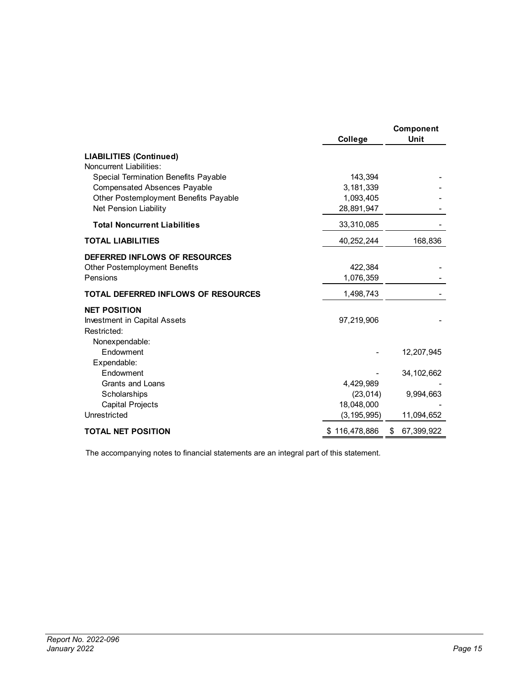|                                                                              | College                | Component<br><b>Unit</b> |
|------------------------------------------------------------------------------|------------------------|--------------------------|
| <b>LIABILITIES (Continued)</b><br>Noncurrent Liabilities:                    |                        |                          |
| <b>Special Termination Benefits Payable</b>                                  | 143,394                |                          |
| <b>Compensated Absences Payable</b><br>Other Postemployment Benefits Payable | 3,181,339<br>1,093,405 |                          |
| <b>Net Pension Liability</b>                                                 | 28,891,947             |                          |
| <b>Total Noncurrent Liabilities</b>                                          | 33,310,085             |                          |
| <b>TOTAL LIABILITIES</b>                                                     | 40,252,244             | 168,836                  |
| DEFERRED INFLOWS OF RESOURCES                                                |                        |                          |
| <b>Other Postemployment Benefits</b>                                         | 422,384                |                          |
| Pensions                                                                     | 1,076,359              |                          |
| <b>TOTAL DEFERRED INFLOWS OF RESOURCES</b>                                   | 1,498,743              |                          |
| <b>NET POSITION</b>                                                          |                        |                          |
| Investment in Capital Assets                                                 | 97,219,906             |                          |
| Restricted:                                                                  |                        |                          |
| Nonexpendable:<br>Endowment                                                  |                        | 12,207,945               |
| Expendable:                                                                  |                        |                          |
| Endowment                                                                    |                        | 34, 102, 662             |
| Grants and Loans                                                             | 4,429,989              |                          |
| Scholarships                                                                 | (23, 014)              | 9,994,663                |
| <b>Capital Projects</b>                                                      | 18,048,000             |                          |
| Unrestricted                                                                 | (3, 195, 995)          | 11,094,652               |
| <b>TOTAL NET POSITION</b>                                                    | \$116,478,886          | 67,399,922<br>\$         |

The accompanying notes to financial statements are an integral part of this statement.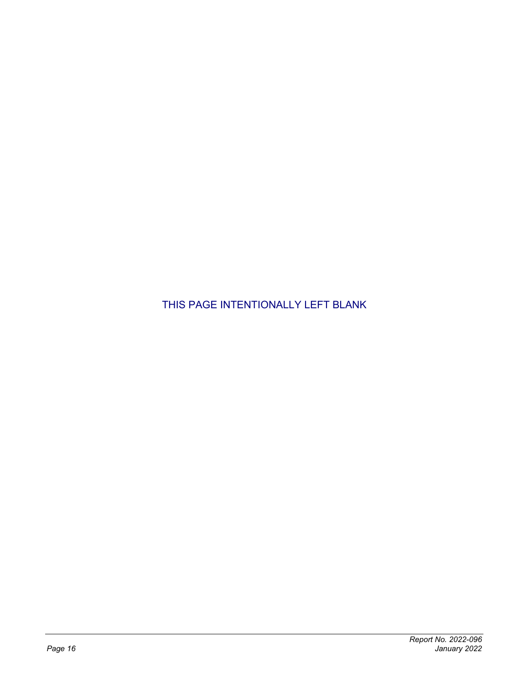THIS PAGE INTENTIONALLY LEFT BLANK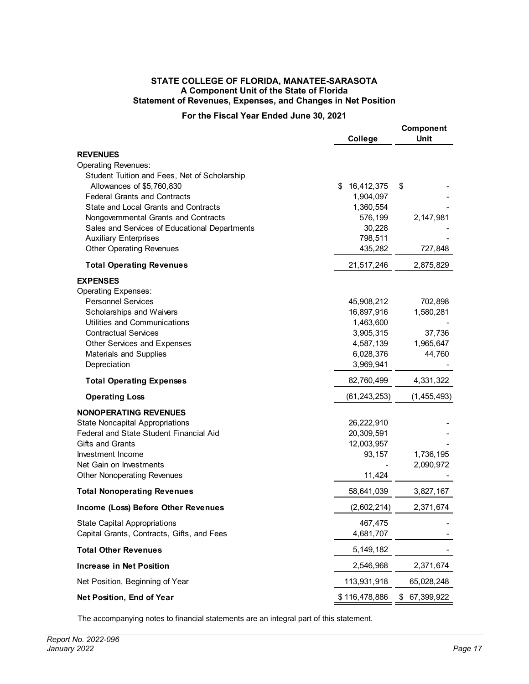#### **STATE COLLEGE OF FLORIDA, MANATEE-SARASOTA A Component Unit of the State of Florida Statement of Revenues, Expenses, and Changes in Net Position**

#### **For the Fiscal Year Ended June 30, 2021**

<span id="page-20-0"></span>

|                                                                  |                        | Component        |
|------------------------------------------------------------------|------------------------|------------------|
|                                                                  | College                | Unit             |
| <b>REVENUES</b>                                                  |                        |                  |
| <b>Operating Revenues:</b>                                       |                        |                  |
| Student Tuition and Fees, Net of Scholarship                     | \$16,412,375           | \$               |
| Allowances of \$5,760,830<br><b>Federal Grants and Contracts</b> |                        |                  |
| <b>State and Local Grants and Contracts</b>                      | 1,904,097<br>1,360,554 |                  |
| Nongovernmental Grants and Contracts                             | 576,199                | 2,147,981        |
| Sales and Services of Educational Departments                    | 30,228                 |                  |
| <b>Auxiliary Enterprises</b>                                     | 798,511                |                  |
| <b>Other Operating Revenues</b>                                  | 435,282                | 727,848          |
| <b>Total Operating Revenues</b>                                  | 21,517,246             | 2,875,829        |
| <b>EXPENSES</b>                                                  |                        |                  |
| <b>Operating Expenses:</b>                                       |                        |                  |
| <b>Personnel Services</b>                                        | 45,908,212             | 702,898          |
| Scholarships and Waivers                                         | 16,897,916             | 1,580,281        |
| Utilities and Communications                                     | 1,463,600              |                  |
| <b>Contractual Services</b>                                      | 3,905,315              | 37,736           |
| <b>Other Services and Expenses</b>                               | 4,587,139              | 1,965,647        |
| <b>Materials and Supplies</b>                                    | 6,028,376              | 44,760           |
| Depreciation                                                     | 3,969,941              |                  |
| <b>Total Operating Expenses</b>                                  | 82,760,499             | 4,331,322        |
| <b>Operating Loss</b>                                            | (61, 243, 253)         | (1,455,493)      |
| <b>NONOPERATING REVENUES</b>                                     |                        |                  |
| <b>State Noncapital Appropriations</b>                           | 26,222,910             |                  |
| Federal and State Student Financial Aid                          | 20,309,591             |                  |
| <b>Gifts and Grants</b>                                          | 12,003,957             |                  |
| Investment Income                                                | 93,157                 | 1,736,195        |
| Net Gain on Investments                                          |                        | 2,090,972        |
| <b>Other Nonoperating Revenues</b>                               | 11,424                 |                  |
| <b>Total Nonoperating Revenues</b>                               | 58,641,039             | 3,827,167        |
| Income (Loss) Before Other Revenues                              | (2,602,214)            | 2,371,674        |
| <b>State Capital Appropriations</b>                              | 467,475                |                  |
| Capital Grants, Contracts, Gifts, and Fees                       | 4,681,707              |                  |
| <b>Total Other Revenues</b>                                      | 5, 149, 182            |                  |
| Increase in Net Position                                         | 2,546,968              | 2,371,674        |
| Net Position, Beginning of Year                                  | 113,931,918            | 65,028,248       |
| Net Position, End of Year                                        | \$116,478,886          | \$<br>67,399,922 |

The accompanying notes to financial statements are an integral part of this statement.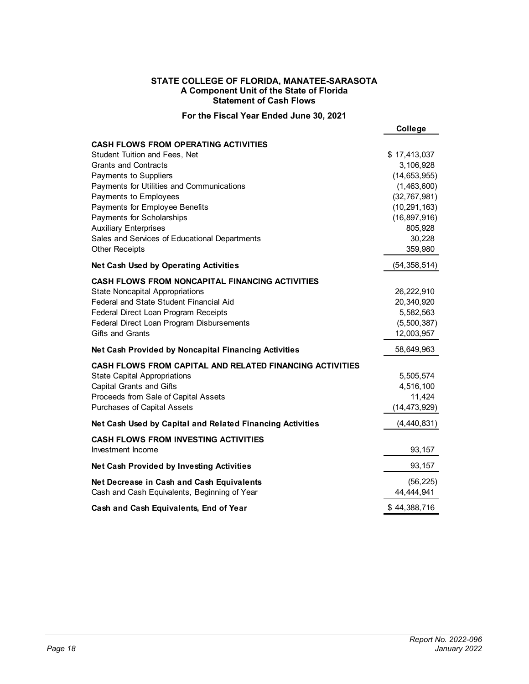#### **STATE COLLEGE OF FLORIDA, MANATEE-SARASOTA A Component Unit of the State of Florida Statement of Cash Flows**

**For the Fiscal Year Ended June 30, 2021** 

<span id="page-21-0"></span>

|                                                                 | College        |
|-----------------------------------------------------------------|----------------|
| <b>CASH FLOWS FROM OPERATING ACTIVITIES</b>                     |                |
| Student Tuition and Fees, Net                                   | \$17,413,037   |
| <b>Grants and Contracts</b>                                     | 3,106,928      |
| Payments to Suppliers                                           | (14, 653, 955) |
| Payments for Utilities and Communications                       | (1,463,600)    |
| Payments to Employees                                           | (32, 767, 981) |
| Payments for Employee Benefits                                  | (10, 291, 163) |
| Payments for Scholarships                                       | (16, 897, 916) |
| <b>Auxiliary Enterprises</b>                                    | 805,928        |
| Sales and Services of Educational Departments                   | 30,228         |
| <b>Other Receipts</b>                                           | 359,980        |
| <b>Net Cash Used by Operating Activities</b>                    | (54, 358, 514) |
| <b>CASH FLOWS FROM NONCAPITAL FINANCING ACTIVITIES</b>          |                |
| <b>State Noncapital Appropriations</b>                          | 26,222,910     |
| Federal and State Student Financial Aid                         | 20,340,920     |
| Federal Direct Loan Program Receipts                            | 5,582,563      |
| Federal Direct Loan Program Disbursements                       | (5,500,387)    |
| Gifts and Grants                                                | 12,003,957     |
| Net Cash Provided by Noncapital Financing Activities            | 58,649,963     |
| <b>CASH FLOWS FROM CAPITAL AND RELATED FINANCING ACTIVITIES</b> |                |
| <b>State Capital Appropriations</b>                             | 5,505,574      |
| <b>Capital Grants and Gifts</b>                                 | 4,516,100      |
| Proceeds from Sale of Capital Assets                            | 11,424         |
| Purchases of Capital Assets                                     | (14, 473, 929) |
| Net Cash Used by Capital and Related Financing Activities       | (4,440,831)    |
| <b>CASH FLOWS FROM INVESTING ACTIVITIES</b>                     |                |
| Investment Income                                               | 93,157         |
| <b>Net Cash Provided by Investing Activities</b>                | 93,157         |
| Net Decrease in Cash and Cash Equivalents                       | (56, 225)      |
| Cash and Cash Equivalents, Beginning of Year                    | 44,444,941     |
| Cash and Cash Equivalents, End of Year                          | \$44,388,716   |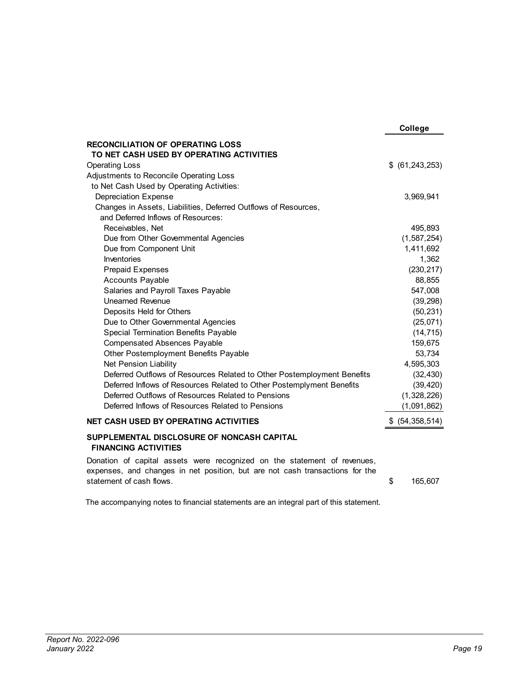|                                                                                                                                                                                      | College            |
|--------------------------------------------------------------------------------------------------------------------------------------------------------------------------------------|--------------------|
| <b>RECONCILIATION OF OPERATING LOSS</b>                                                                                                                                              |                    |
| TO NET CASH USED BY OPERATING ACTIVITIES                                                                                                                                             |                    |
| <b>Operating Loss</b>                                                                                                                                                                | \$ (61, 243, 253)  |
| Adjustments to Reconcile Operating Loss                                                                                                                                              |                    |
| to Net Cash Used by Operating Activities:                                                                                                                                            |                    |
| <b>Depreciation Expense</b>                                                                                                                                                          | 3,969,941          |
| Changes in Assets, Liabilities, Deferred Outflows of Resources,                                                                                                                      |                    |
| and Deferred Inflows of Resources:                                                                                                                                                   |                    |
| Receivables, Net                                                                                                                                                                     | 495,893            |
| Due from Other Governmental Agencies                                                                                                                                                 | (1,587,254)        |
| Due from Component Unit                                                                                                                                                              | 1,411,692          |
| Inventories                                                                                                                                                                          | 1,362              |
| Prepaid Expenses                                                                                                                                                                     | (230, 217)         |
| <b>Accounts Payable</b>                                                                                                                                                              | 88,855             |
| Salaries and Payroll Taxes Payable                                                                                                                                                   | 547,008            |
| <b>Unearned Revenue</b>                                                                                                                                                              | (39, 298)          |
| Deposits Held for Others                                                                                                                                                             | (50, 231)          |
| Due to Other Governmental Agencies                                                                                                                                                   | (25,071)           |
| Special Termination Benefits Payable                                                                                                                                                 | (14, 715)          |
| <b>Compensated Absences Payable</b>                                                                                                                                                  | 159,675            |
| Other Postemployment Benefits Payable                                                                                                                                                | 53,734             |
| <b>Net Pension Liability</b>                                                                                                                                                         | 4,595,303          |
| Deferred Outflows of Resources Related to Other Postemployment Benefits                                                                                                              | (32, 430)          |
| Deferred Inflows of Resources Related to Other Postemplyment Benefits                                                                                                                | (39, 420)          |
| Deferred Outflows of Resources Related to Pensions                                                                                                                                   | (1,328,226)        |
| Deferred Inflows of Resources Related to Pensions                                                                                                                                    | (1,091,862)        |
| NET CASH USED BY OPERATING ACTIVITIES                                                                                                                                                | $$$ (54, 358, 514) |
| SUPPLEMENTAL DISCLOSURE OF NONCASH CAPITAL<br><b>FINANCING ACTIVITIES</b>                                                                                                            |                    |
| Donation of capital assets were recognized on the statement of revenues,<br>expenses, and changes in net position, but are not cash transactions for the<br>statement of cash flows. |                    |
|                                                                                                                                                                                      | \$<br>165,607      |

The accompanying notes to financial statements are an integral part of this statement.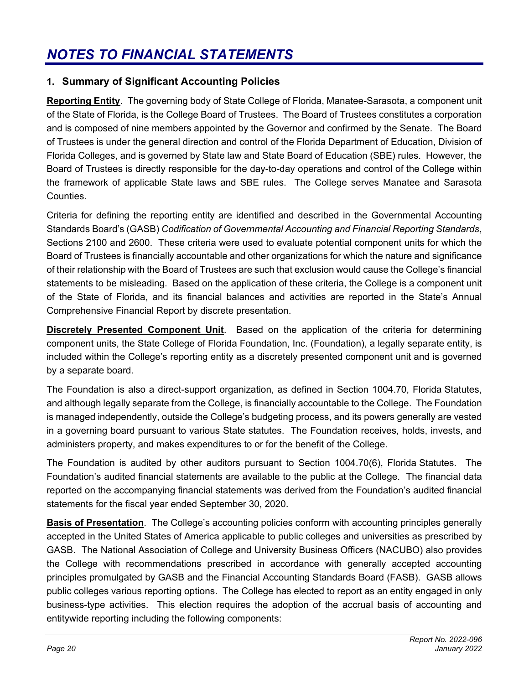## <span id="page-23-0"></span>*NOTES TO FINANCIAL STATEMENTS*

## **1. Summary of Significant Accounting Policies**

**Reporting Entity**. The governing body of State College of Florida, Manatee-Sarasota, a component unit of the State of Florida, is the College Board of Trustees. The Board of Trustees constitutes a corporation and is composed of nine members appointed by the Governor and confirmed by the Senate. The Board of Trustees is under the general direction and control of the Florida Department of Education, Division of Florida Colleges, and is governed by State law and State Board of Education (SBE) rules. However, the Board of Trustees is directly responsible for the day-to-day operations and control of the College within the framework of applicable State laws and SBE rules. The College serves Manatee and Sarasota Counties.

Criteria for defining the reporting entity are identified and described in the Governmental Accounting Standards Board's (GASB) *Codification of Governmental Accounting and Financial Reporting Standards*, Sections 2100 and 2600. These criteria were used to evaluate potential component units for which the Board of Trustees is financially accountable and other organizations for which the nature and significance of their relationship with the Board of Trustees are such that exclusion would cause the College's financial statements to be misleading. Based on the application of these criteria, the College is a component unit of the State of Florida, and its financial balances and activities are reported in the State's Annual Comprehensive Financial Report by discrete presentation.

**Discretely Presented Component Unit**. Based on the application of the criteria for determining component units, the State College of Florida Foundation, Inc. (Foundation), a legally separate entity, is included within the College's reporting entity as a discretely presented component unit and is governed by a separate board.

The Foundation is also a direct-support organization, as defined in Section 1004.70, Florida Statutes, and although legally separate from the College, is financially accountable to the College. The Foundation is managed independently, outside the College's budgeting process, and its powers generally are vested in a governing board pursuant to various State statutes. The Foundation receives, holds, invests, and administers property, and makes expenditures to or for the benefit of the College.

The Foundation is audited by other auditors pursuant to Section 1004.70(6), Florida Statutes. The Foundation's audited financial statements are available to the public at the College. The financial data reported on the accompanying financial statements was derived from the Foundation's audited financial statements for the fiscal year ended September 30, 2020.

**Basis of Presentation**. The College's accounting policies conform with accounting principles generally accepted in the United States of America applicable to public colleges and universities as prescribed by GASB. The National Association of College and University Business Officers (NACUBO) also provides the College with recommendations prescribed in accordance with generally accepted accounting principles promulgated by GASB and the Financial Accounting Standards Board (FASB). GASB allows public colleges various reporting options. The College has elected to report as an entity engaged in only business-type activities. This election requires the adoption of the accrual basis of accounting and entitywide reporting including the following components: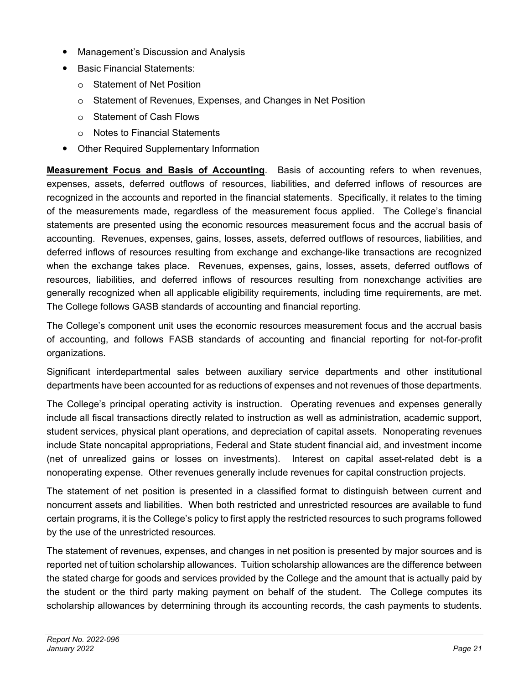- Management's Discussion and Analysis
- Basic Financial Statements:
	- o Statement of Net Position
	- o Statement of Revenues, Expenses, and Changes in Net Position
	- o Statement of Cash Flows
	- o Notes to Financial Statements
- Other Required Supplementary Information

**Measurement Focus and Basis of Accounting**. Basis of accounting refers to when revenues, expenses, assets, deferred outflows of resources, liabilities, and deferred inflows of resources are recognized in the accounts and reported in the financial statements. Specifically, it relates to the timing of the measurements made, regardless of the measurement focus applied. The College's financial statements are presented using the economic resources measurement focus and the accrual basis of accounting. Revenues, expenses, gains, losses, assets, deferred outflows of resources, liabilities, and deferred inflows of resources resulting from exchange and exchange-like transactions are recognized when the exchange takes place. Revenues, expenses, gains, losses, assets, deferred outflows of resources, liabilities, and deferred inflows of resources resulting from nonexchange activities are generally recognized when all applicable eligibility requirements, including time requirements, are met. The College follows GASB standards of accounting and financial reporting.

The College's component unit uses the economic resources measurement focus and the accrual basis of accounting, and follows FASB standards of accounting and financial reporting for not-for-profit organizations.

Significant interdepartmental sales between auxiliary service departments and other institutional departments have been accounted for as reductions of expenses and not revenues of those departments.

The College's principal operating activity is instruction. Operating revenues and expenses generally include all fiscal transactions directly related to instruction as well as administration, academic support, student services, physical plant operations, and depreciation of capital assets. Nonoperating revenues include State noncapital appropriations, Federal and State student financial aid, and investment income (net of unrealized gains or losses on investments). Interest on capital asset-related debt is a nonoperating expense. Other revenues generally include revenues for capital construction projects.

The statement of net position is presented in a classified format to distinguish between current and noncurrent assets and liabilities. When both restricted and unrestricted resources are available to fund certain programs, it is the College's policy to first apply the restricted resources to such programs followed by the use of the unrestricted resources.

The statement of revenues, expenses, and changes in net position is presented by major sources and is reported net of tuition scholarship allowances. Tuition scholarship allowances are the difference between the stated charge for goods and services provided by the College and the amount that is actually paid by the student or the third party making payment on behalf of the student. The College computes its scholarship allowances by determining through its accounting records, the cash payments to students.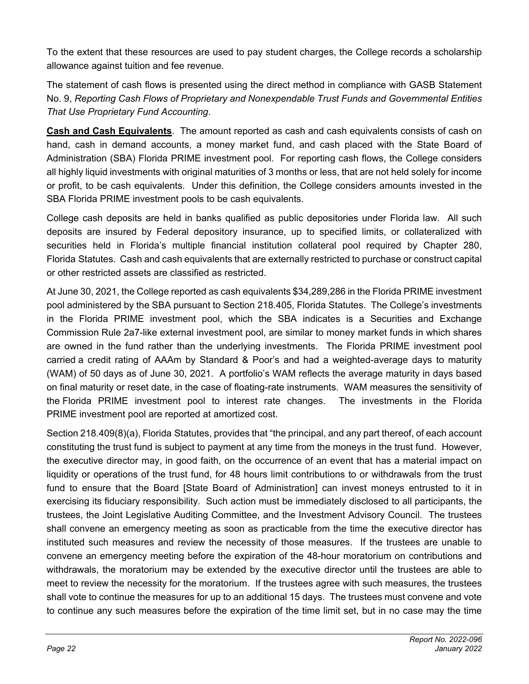To the extent that these resources are used to pay student charges, the College records a scholarship allowance against tuition and fee revenue.

The statement of cash flows is presented using the direct method in compliance with GASB Statement No. 9, *Reporting Cash Flows of Proprietary and Nonexpendable Trust Funds and Governmental Entities That Use Proprietary Fund Accounting*.

**Cash and Cash Equivalents**. The amount reported as cash and cash equivalents consists of cash on hand, cash in demand accounts, a money market fund, and cash placed with the State Board of Administration (SBA) Florida PRIME investment pool. For reporting cash flows, the College considers all highly liquid investments with original maturities of 3 months or less, that are not held solely for income or profit, to be cash equivalents. Under this definition, the College considers amounts invested in the SBA Florida PRIME investment pools to be cash equivalents.

College cash deposits are held in banks qualified as public depositories under Florida law. All such deposits are insured by Federal depository insurance, up to specified limits, or collateralized with securities held in Florida's multiple financial institution collateral pool required by Chapter 280, Florida Statutes. Cash and cash equivalents that are externally restricted to purchase or construct capital or other restricted assets are classified as restricted.

At June 30, 2021, the College reported as cash equivalents \$34,289,286 in the Florida PRIME investment pool administered by the SBA pursuant to Section 218.405, Florida Statutes. The College's investments in the Florida PRIME investment pool, which the SBA indicates is a Securities and Exchange Commission Rule 2a7-like external investment pool, are similar to money market funds in which shares are owned in the fund rather than the underlying investments. The Florida PRIME investment pool carried a credit rating of AAAm by Standard & Poor's and had a weighted-average days to maturity (WAM) of 50 days as of June 30, 2021. A portfolio's WAM reflects the average maturity in days based on final maturity or reset date, in the case of floating-rate instruments. WAM measures the sensitivity of the Florida PRIME investment pool to interest rate changes. The investments in the Florida PRIME investment pool are reported at amortized cost.

Section 218.409(8)(a), Florida Statutes, provides that "the principal, and any part thereof, of each account constituting the trust fund is subject to payment at any time from the moneys in the trust fund. However, the executive director may, in good faith, on the occurrence of an event that has a material impact on liquidity or operations of the trust fund, for 48 hours limit contributions to or withdrawals from the trust fund to ensure that the Board [State Board of Administration] can invest moneys entrusted to it in exercising its fiduciary responsibility. Such action must be immediately disclosed to all participants, the trustees, the Joint Legislative Auditing Committee, and the Investment Advisory Council. The trustees shall convene an emergency meeting as soon as practicable from the time the executive director has instituted such measures and review the necessity of those measures. If the trustees are unable to convene an emergency meeting before the expiration of the 48-hour moratorium on contributions and withdrawals, the moratorium may be extended by the executive director until the trustees are able to meet to review the necessity for the moratorium. If the trustees agree with such measures, the trustees shall vote to continue the measures for up to an additional 15 days. The trustees must convene and vote to continue any such measures before the expiration of the time limit set, but in no case may the time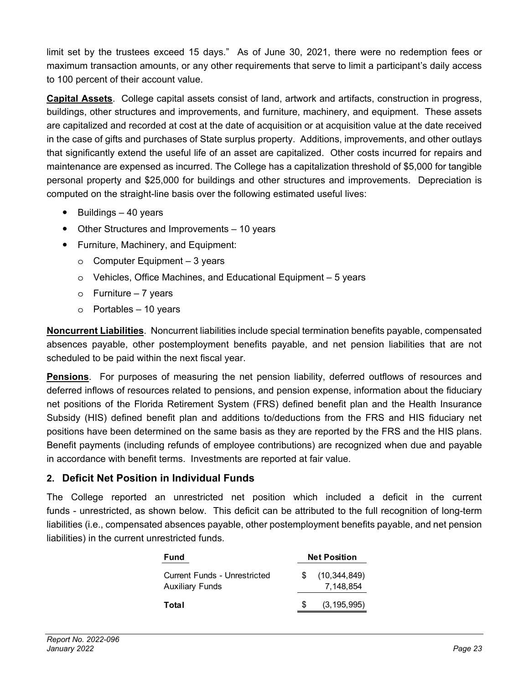limit set by the trustees exceed 15 days." As of June 30, 2021, there were no redemption fees or maximum transaction amounts, or any other requirements that serve to limit a participant's daily access to 100 percent of their account value.

**Capital Assets**. College capital assets consist of land, artwork and artifacts, construction in progress, buildings, other structures and improvements, and furniture, machinery, and equipment. These assets are capitalized and recorded at cost at the date of acquisition or at acquisition value at the date received in the case of gifts and purchases of State surplus property. Additions, improvements, and other outlays that significantly extend the useful life of an asset are capitalized. Other costs incurred for repairs and maintenance are expensed as incurred. The College has a capitalization threshold of \$5,000 for tangible personal property and \$25,000 for buildings and other structures and improvements. Depreciation is computed on the straight-line basis over the following estimated useful lives:

- $\bullet$  Buildings  $-$  40 years
- Other Structures and Improvements 10 years
- Furniture, Machinery, and Equipment:
	- $\circ$  Computer Equipment 3 years
	- o Vehicles, Office Machines, and Educational Equipment 5 years
	- $\circ$  Furniture 7 years
	- $\circ$  Portables 10 years

**Noncurrent Liabilities**. Noncurrent liabilities include special termination benefits payable, compensated absences payable, other postemployment benefits payable, and net pension liabilities that are not scheduled to be paid within the next fiscal year.

**Pensions**. For purposes of measuring the net pension liability, deferred outflows of resources and deferred inflows of resources related to pensions, and pension expense, information about the fiduciary net positions of the Florida Retirement System (FRS) defined benefit plan and the Health Insurance Subsidy (HIS) defined benefit plan and additions to/deductions from the FRS and HIS fiduciary net positions have been determined on the same basis as they are reported by the FRS and the HIS plans. Benefit payments (including refunds of employee contributions) are recognized when due and payable in accordance with benefit terms. Investments are reported at fair value.

## **2. Deficit Net Position in Individual Funds**

The College reported an unrestricted net position which included a deficit in the current funds - unrestricted, as shown below. This deficit can be attributed to the full recognition of long-term liabilities (i.e., compensated absences payable, other postemployment benefits payable, and net pension liabilities) in the current unrestricted funds.

| Fund                                                   | <b>Net Position</b> |                             |  |  |
|--------------------------------------------------------|---------------------|-----------------------------|--|--|
| Current Funds - Unrestricted<br><b>Auxiliary Funds</b> |                     | (10, 344, 849)<br>7.148.854 |  |  |
| Total                                                  |                     | (3.195.995)                 |  |  |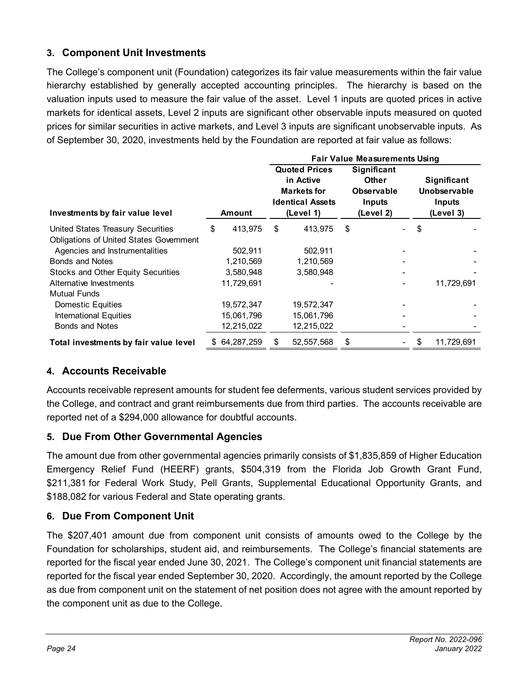## **3. Component Unit Investments**

The College's component unit (Foundation) categorizes its fair value measurements within the fair value hierarchy established by generally accepted accounting principles. The hierarchy is based on the valuation inputs used to measure the fair value of the asset. Level 1 inputs are quoted prices in active markets for identical assets, Level 2 inputs are significant other observable inputs measured on quoted prices for similar securities in active markets, and Level 3 inputs are significant unobservable inputs. As of September 30, 2020, investments held by the Foundation are reported at fair value as follows:

|                                                                                     |               | <b>Fair Value Measurements Using</b> |                                                                                                 |    |                                                                                       |     |                                                           |
|-------------------------------------------------------------------------------------|---------------|--------------------------------------|-------------------------------------------------------------------------------------------------|----|---------------------------------------------------------------------------------------|-----|-----------------------------------------------------------|
| Investments by fair value level                                                     | <b>Amount</b> |                                      | <b>Quoted Prices</b><br>in Active<br><b>Markets for</b><br><b>Identical Assets</b><br>(Level 1) |    | <b>Significant</b><br><b>Other</b><br><b>Observable</b><br><b>Inputs</b><br>(Level 2) |     | Significant<br>Unobservable<br><b>Inputs</b><br>(Level 3) |
| United States Treasury Securities<br><b>Obligations of United States Government</b> | \$<br>413.975 | \$                                   | 413.975                                                                                         | \$ |                                                                                       | -\$ |                                                           |
| Agencies and Instrumentalities                                                      | 502,911       |                                      | 502,911                                                                                         |    |                                                                                       |     |                                                           |
| <b>Bonds and Notes</b>                                                              | 1,210,569     |                                      | 1,210,569                                                                                       |    |                                                                                       |     |                                                           |
| Stocks and Other Equity Securities                                                  | 3,580,948     |                                      | 3,580,948                                                                                       |    |                                                                                       |     |                                                           |
| Alternative Investments                                                             | 11,729,691    |                                      |                                                                                                 |    |                                                                                       |     | 11,729,691                                                |
| <b>Mutual Funds</b>                                                                 |               |                                      |                                                                                                 |    |                                                                                       |     |                                                           |
| Domestic Equities                                                                   | 19,572,347    |                                      | 19,572,347                                                                                      |    |                                                                                       |     |                                                           |
| <b>International Equities</b>                                                       | 15,061,796    |                                      | 15,061,796                                                                                      |    |                                                                                       |     |                                                           |
| <b>Bonds and Notes</b>                                                              | 12,215,022    |                                      | 12,215,022                                                                                      |    |                                                                                       |     |                                                           |
| Total investments by fair value level                                               | \$64,287,259  | æ.                                   | 52,557,568                                                                                      | \$ |                                                                                       | S   | 11,729,691                                                |

## **4. Accounts Receivable**

Accounts receivable represent amounts for student fee deferments, various student services provided by the College, and contract and grant reimbursements due from third parties. The accounts receivable are reported net of a \$294,000 allowance for doubtful accounts.

## **5. Due From Other Governmental Agencies**

The amount due from other governmental agencies primarily consists of \$1,835,859 of Higher Education Emergency Relief Fund (HEERF) grants, \$504,319 from the Florida Job Growth Grant Fund, \$211,381 for Federal Work Study, Pell Grants, Supplemental Educational Opportunity Grants, and \$188,082 for various Federal and State operating grants.

## **6. Due From Component Unit**

The \$207,401 amount due from component unit consists of amounts owed to the College by the Foundation for scholarships, student aid, and reimbursements. The College's financial statements are reported for the fiscal year ended June 30, 2021. The College's component unit financial statements are reported for the fiscal year ended September 30, 2020. Accordingly, the amount reported by the College as due from component unit on the statement of net position does not agree with the amount reported by the component unit as due to the College.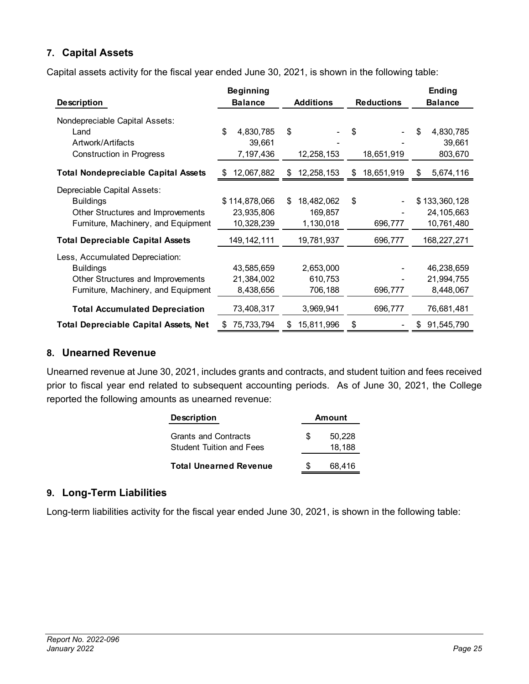## **7. Capital Assets**

Capital assets activity for the fiscal year ended June 30, 2021, is shown in the following table:

|                                              |                | <b>Beginning</b> |                  |            |                   |            |                | Ending        |
|----------------------------------------------|----------------|------------------|------------------|------------|-------------------|------------|----------------|---------------|
| <b>Description</b>                           | <b>Balance</b> |                  | <b>Additions</b> |            | <b>Reductions</b> |            | <b>Balance</b> |               |
| Nondepreciable Capital Assets:               |                |                  |                  |            |                   |            |                |               |
| Land                                         | \$             | 4,830,785        | \$               |            | \$                |            | \$             | 4,830,785     |
| Artwork/Artifacts                            |                | 39,661           |                  |            |                   |            |                | 39,661        |
| <b>Construction in Progress</b>              |                | 7,197,436        |                  | 12,258,153 |                   | 18,651,919 |                | 803,670       |
| <b>Total Nondepreciable Capital Assets</b>   | S              | 12,067,882       | \$               | 12,258,153 | S                 | 18,651,919 | S              | 5,674,116     |
| Depreciable Capital Assets:                  |                |                  |                  |            |                   |            |                |               |
| <b>Buildings</b>                             |                | \$114,878,066    | \$               | 18,482,062 | \$                |            |                | \$133,360,128 |
| Other Structures and Improvements            |                | 23,935,806       |                  | 169,857    |                   |            |                | 24, 105, 663  |
| Furniture, Machinery, and Equipment          |                | 10,328,239       |                  | 1,130,018  |                   | 696,777    |                | 10,761,480    |
| <b>Total Depreciable Capital Assets</b>      |                | 149, 142, 111    |                  | 19,781,937 |                   | 696,777    |                | 168,227,271   |
| Less, Accumulated Depreciation:              |                |                  |                  |            |                   |            |                |               |
| <b>Buildings</b>                             |                | 43,585,659       |                  | 2,653,000  |                   |            |                | 46,238,659    |
| Other Structures and Improvements            |                | 21,384,002       |                  | 610,753    |                   |            |                | 21,994,755    |
| Furniture, Machinery, and Equipment          |                | 8,438,656        |                  | 706,188    |                   | 696,777    |                | 8,448,067     |
| <b>Total Accumulated Depreciation</b>        |                | 73,408,317       |                  | 3,969,941  |                   | 696,777    |                | 76,681,481    |
| <b>Total Depreciable Capital Assets, Net</b> | S              | 75,733,794       | S                | 15,811,996 | \$                |            | \$             | 91,545,790    |

#### **8. Unearned Revenue**

Unearned revenue at June 30, 2021, includes grants and contracts, and student tuition and fees received prior to fiscal year end related to subsequent accounting periods. As of June 30, 2021, the College reported the following amounts as unearned revenue:

| <b>Description</b>                                             |     | Amount           |  |  |
|----------------------------------------------------------------|-----|------------------|--|--|
| <b>Grants and Contracts</b><br><b>Student Tuition and Fees</b> | \$. | 50,228<br>18,188 |  |  |
| <b>Total Unearned Revenue</b>                                  | S   | 68,416           |  |  |

## **9. Long-Term Liabilities**

Long-term liabilities activity for the fiscal year ended June 30, 2021, is shown in the following table: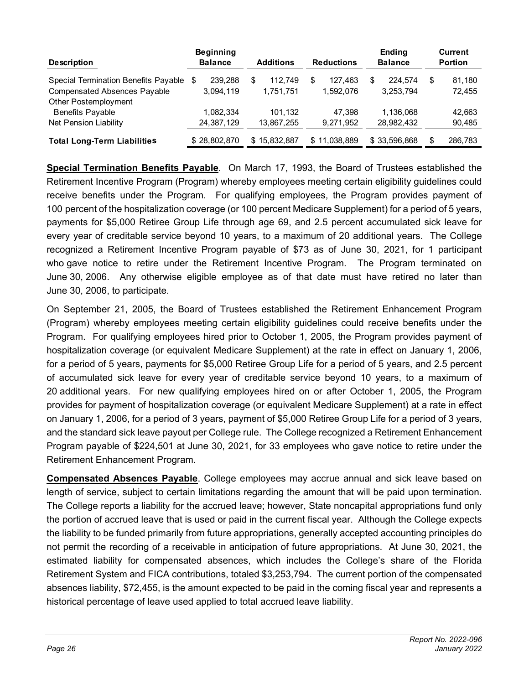| <b>Description</b>                   | <b>Beginning</b><br><b>Balance</b> | <b>Additions</b> | <b>Reductions</b> | <b>Ending</b><br><b>Balance</b> | <b>Current</b><br><b>Portion</b> |
|--------------------------------------|------------------------------------|------------------|-------------------|---------------------------------|----------------------------------|
| Special Termination Benefits Payable | 239.288<br>S                       | 112.749<br>S     | 127.463<br>\$     | 224.574<br>\$                   | \$<br>81,180                     |
| <b>Compensated Absences Payable</b>  | 3.094.119                          | 1.751.751        | 1.592.076         | 3,253,794                       | 72,455                           |
| Other Postemployment                 |                                    |                  |                   |                                 |                                  |
| <b>Benefits Payable</b>              | 1,082,334                          | 101.132          | 47.398            | 1,136,068                       | 42,663                           |
| Net Pension Liability                | 24,387,129                         | 13,867,255       | 9,271,952         | 28,982,432                      | 90,485                           |
| <b>Total Long-Term Liabilities</b>   | \$28,802,870                       | 15,832,887<br>S. | \$11,038,889      | \$33,596,868                    | 286,783<br>\$                    |

**Special Termination Benefits Payable**. On March 17, 1993, the Board of Trustees established the Retirement Incentive Program (Program) whereby employees meeting certain eligibility guidelines could receive benefits under the Program. For qualifying employees, the Program provides payment of 100 percent of the hospitalization coverage (or 100 percent Medicare Supplement) for a period of 5 years, payments for \$5,000 Retiree Group Life through age 69, and 2.5 percent accumulated sick leave for every year of creditable service beyond 10 years, to a maximum of 20 additional years. The College recognized a Retirement Incentive Program payable of \$73 as of June 30, 2021, for 1 participant who gave notice to retire under the Retirement Incentive Program. The Program terminated on June 30, 2006. Any otherwise eligible employee as of that date must have retired no later than June 30, 2006, to participate.

On September 21, 2005, the Board of Trustees established the Retirement Enhancement Program (Program) whereby employees meeting certain eligibility guidelines could receive benefits under the Program. For qualifying employees hired prior to October 1, 2005, the Program provides payment of hospitalization coverage (or equivalent Medicare Supplement) at the rate in effect on January 1, 2006, for a period of 5 years, payments for \$5,000 Retiree Group Life for a period of 5 years, and 2.5 percent of accumulated sick leave for every year of creditable service beyond 10 years, to a maximum of 20 additional years. For new qualifying employees hired on or after October 1, 2005, the Program provides for payment of hospitalization coverage (or equivalent Medicare Supplement) at a rate in effect on January 1, 2006, for a period of 3 years, payment of \$5,000 Retiree Group Life for a period of 3 years, and the standard sick leave payout per College rule. The College recognized a Retirement Enhancement Program payable of \$224,501 at June 30, 2021, for 33 employees who gave notice to retire under the Retirement Enhancement Program.

**Compensated Absences Payable**. College employees may accrue annual and sick leave based on length of service, subject to certain limitations regarding the amount that will be paid upon termination. The College reports a liability for the accrued leave; however, State noncapital appropriations fund only the portion of accrued leave that is used or paid in the current fiscal year. Although the College expects the liability to be funded primarily from future appropriations, generally accepted accounting principles do not permit the recording of a receivable in anticipation of future appropriations. At June 30, 2021, the estimated liability for compensated absences, which includes the College's share of the Florida Retirement System and FICA contributions, totaled \$3,253,794. The current portion of the compensated absences liability, \$72,455, is the amount expected to be paid in the coming fiscal year and represents a historical percentage of leave used applied to total accrued leave liability.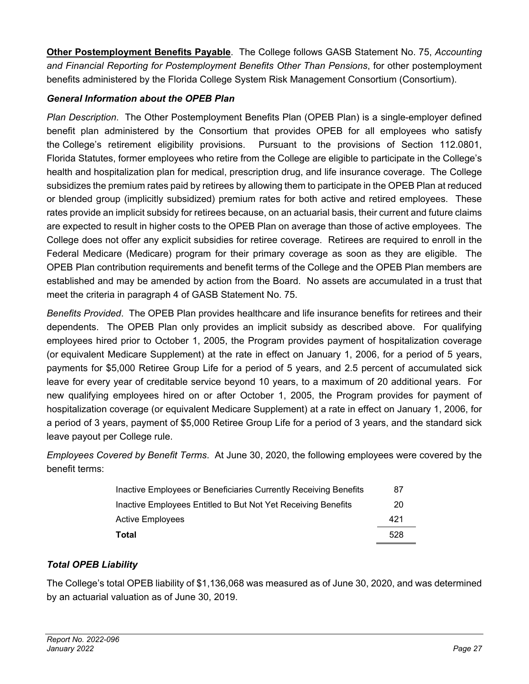**Other Postemployment Benefits Payable**. The College follows GASB Statement No. 75, *Accounting and Financial Reporting for Postemployment Benefits Other Than Pensions*, for other postemployment benefits administered by the Florida College System Risk Management Consortium (Consortium).

## *General Information about the OPEB Plan*

*Plan Description*. The Other Postemployment Benefits Plan (OPEB Plan) is a single-employer defined benefit plan administered by the Consortium that provides OPEB for all employees who satisfy the College's retirement eligibility provisions. Pursuant to the provisions of Section 112.0801, Florida Statutes, former employees who retire from the College are eligible to participate in the College's health and hospitalization plan for medical, prescription drug, and life insurance coverage. The College subsidizes the premium rates paid by retirees by allowing them to participate in the OPEB Plan at reduced or blended group (implicitly subsidized) premium rates for both active and retired employees. These rates provide an implicit subsidy for retirees because, on an actuarial basis, their current and future claims are expected to result in higher costs to the OPEB Plan on average than those of active employees. The College does not offer any explicit subsidies for retiree coverage. Retirees are required to enroll in the Federal Medicare (Medicare) program for their primary coverage as soon as they are eligible. The OPEB Plan contribution requirements and benefit terms of the College and the OPEB Plan members are established and may be amended by action from the Board. No assets are accumulated in a trust that meet the criteria in paragraph 4 of GASB Statement No. 75.

*Benefits Provided*. The OPEB Plan provides healthcare and life insurance benefits for retirees and their dependents. The OPEB Plan only provides an implicit subsidy as described above. For qualifying employees hired prior to October 1, 2005, the Program provides payment of hospitalization coverage (or equivalent Medicare Supplement) at the rate in effect on January 1, 2006, for a period of 5 years, payments for \$5,000 Retiree Group Life for a period of 5 years, and 2.5 percent of accumulated sick leave for every year of creditable service beyond 10 years, to a maximum of 20 additional years. For new qualifying employees hired on or after October 1, 2005, the Program provides for payment of hospitalization coverage (or equivalent Medicare Supplement) at a rate in effect on January 1, 2006, for a period of 3 years, payment of \$5,000 Retiree Group Life for a period of 3 years, and the standard sick leave payout per College rule.

*Employees Covered by Benefit Terms*. At June 30, 2020, the following employees were covered by the benefit terms:

| Inactive Employees or Beneficiaries Currently Receiving Benefits | 87  |
|------------------------------------------------------------------|-----|
| Inactive Employees Entitled to But Not Yet Receiving Benefits    | 20  |
| Active Employees                                                 | 421 |
| Total                                                            | 528 |

## *Total OPEB Liability*

The College's total OPEB liability of \$1,136,068 was measured as of June 30, 2020, and was determined by an actuarial valuation as of June 30, 2019.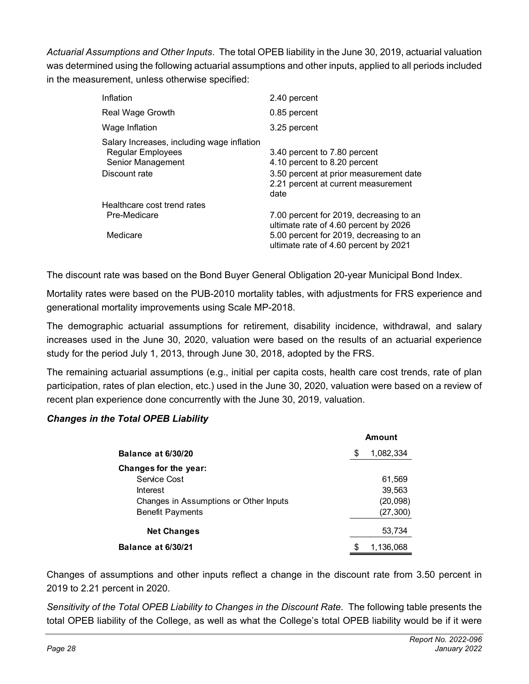*Actuarial Assumptions and Other Inputs*. The total OPEB liability in the June 30, 2019, actuarial valuation was determined using the following actuarial assumptions and other inputs, applied to all periods included in the measurement, unless otherwise specified:

| Inflation                                                                                                    | 2.40 percent                                                                                                                                                         |
|--------------------------------------------------------------------------------------------------------------|----------------------------------------------------------------------------------------------------------------------------------------------------------------------|
| Real Wage Growth                                                                                             | 0.85 percent                                                                                                                                                         |
| Wage Inflation                                                                                               | 3.25 percent                                                                                                                                                         |
| Salary Increases, including wage inflation<br><b>Regular Employees</b><br>Senior Management<br>Discount rate | 3.40 percent to 7.80 percent<br>4.10 percent to 8.20 percent<br>3.50 percent at prior measurement date<br>2.21 percent at current measurement<br>date                |
| Healthcare cost trend rates                                                                                  |                                                                                                                                                                      |
| Pre-Medicare<br>Medicare                                                                                     | 7.00 percent for 2019, decreasing to an<br>ultimate rate of 4.60 percent by 2026<br>5.00 percent for 2019, decreasing to an<br>ultimate rate of 4.60 percent by 2021 |
|                                                                                                              |                                                                                                                                                                      |

The discount rate was based on the Bond Buyer General Obligation 20-year Municipal Bond Index.

Mortality rates were based on the PUB-2010 mortality tables, with adjustments for FRS experience and generational mortality improvements using Scale MP-2018.

The demographic actuarial assumptions for retirement, disability incidence, withdrawal, and salary increases used in the June 30, 2020, valuation were based on the results of an actuarial experience study for the period July 1, 2013, through June 30, 2018, adopted by the FRS.

The remaining actuarial assumptions (e.g., initial per capita costs, health care cost trends, rate of plan participation, rates of plan election, etc.) used in the June 30, 2020, valuation were based on a review of recent plan experience done concurrently with the June 30, 2019, valuation.

## *Changes in the Total OPEB Liability*

|                                        |    | Amount    |
|----------------------------------------|----|-----------|
| \$<br>Balance at 6/30/20               |    | 1,082,334 |
| Changes for the year:                  |    |           |
| Service Cost                           |    | 61,569    |
| Interest                               |    | 39,563    |
| Changes in Assumptions or Other Inputs |    | (20,098)  |
| <b>Benefit Payments</b>                |    | (27, 300) |
| <b>Net Changes</b>                     |    | 53,734    |
| <b>Balance at 6/30/21</b>              | \$ | 1,136,068 |

Changes of assumptions and other inputs reflect a change in the discount rate from 3.50 percent in 2019 to 2.21 percent in 2020.

*Sensitivity of the Total OPEB Liability to Changes in the Discount Rate*. The following table presents the total OPEB liability of the College, as well as what the College's total OPEB liability would be if it were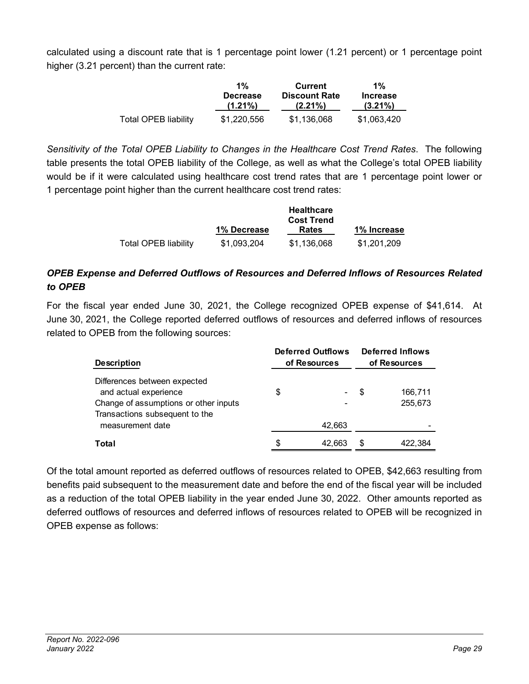calculated using a discount rate that is 1 percentage point lower (1.21 percent) or 1 percentage point higher (3.21 percent) than the current rate:

|                      | 1%              | Current              | $1\%$           |
|----------------------|-----------------|----------------------|-----------------|
|                      | <b>Decrease</b> | <b>Discount Rate</b> | <b>Increase</b> |
|                      | $(1.21\%)$      | $(2.21\%)$           | $(3.21\%)$      |
| Total OPEB liability | \$1,220,556     | \$1.136.068          | \$1,063,420     |

*Sensitivity of the Total OPEB Liability to Changes in the Healthcare Cost Trend Rates*. The following table presents the total OPEB liability of the College, as well as what the College's total OPEB liability would be if it were calculated using healthcare cost trend rates that are 1 percentage point lower or 1 percentage point higher than the current healthcare cost trend rates:

|                             |             | <b>Healthcare</b><br><b>Cost Trend</b> |             |  |
|-----------------------------|-------------|----------------------------------------|-------------|--|
|                             | 1% Decrease | Rates                                  | 1% Increase |  |
| <b>Total OPEB liability</b> | \$1,093,204 | \$1.136.068                            | \$1.201.209 |  |

## *OPEB Expense and Deferred Outflows of Resources and Deferred Inflows of Resources Related to OPEB*

For the fiscal year ended June 30, 2021, the College recognized OPEB expense of \$41,614. At June 30, 2021, the College reported deferred outflows of resources and deferred inflows of resources related to OPEB from the following sources:

| <b>Description</b>                                                                                                               | <b>Deferred Outflows</b><br>of Resources |        | <b>Deferred Inflows</b><br>of Resources |                    |
|----------------------------------------------------------------------------------------------------------------------------------|------------------------------------------|--------|-----------------------------------------|--------------------|
| Differences between expected<br>and actual experience<br>Change of assumptions or other inputs<br>Transactions subsequent to the | \$                                       |        | - \$                                    | 166,711<br>255,673 |
| measurement date                                                                                                                 |                                          | 42,663 |                                         |                    |
| Total                                                                                                                            | \$                                       | 42,663 | \$                                      | 422,384            |

Of the total amount reported as deferred outflows of resources related to OPEB, \$42,663 resulting from benefits paid subsequent to the measurement date and before the end of the fiscal year will be included as a reduction of the total OPEB liability in the year ended June 30, 2022. Other amounts reported as deferred outflows of resources and deferred inflows of resources related to OPEB will be recognized in OPEB expense as follows: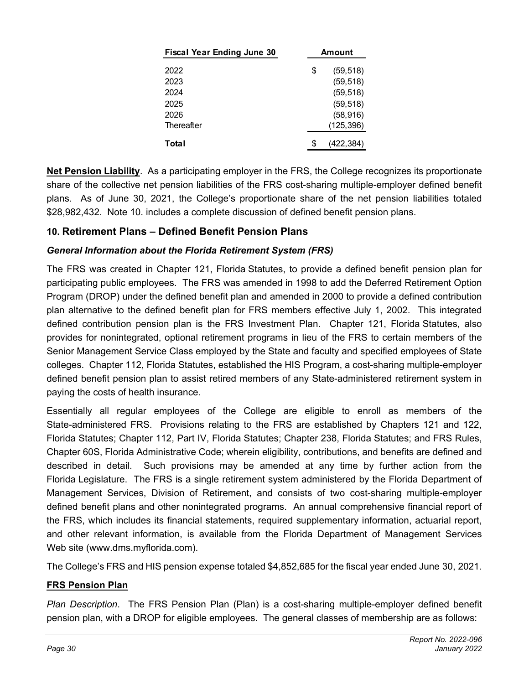| <b>Fiscal Year Ending June 30</b> |    | Amount     |  |  |
|-----------------------------------|----|------------|--|--|
| 2022                              | \$ | (59, 518)  |  |  |
| 2023                              |    | (59, 518)  |  |  |
| 2024                              |    | (59, 518)  |  |  |
| 2025                              |    | (59, 518)  |  |  |
| 2026                              |    | (58, 916)  |  |  |
| Thereafter                        |    | (125, 396) |  |  |
| Total                             | S  | (422, 384) |  |  |

**Net Pension Liability**. As a participating employer in the FRS, the College recognizes its proportionate share of the collective net pension liabilities of the FRS cost-sharing multiple-employer defined benefit plans. As of June 30, 2021, the College's proportionate share of the net pension liabilities totaled \$28,982,432. Note 10. includes a complete discussion of defined benefit pension plans.

## **10. Retirement Plans – Defined Benefit Pension Plans**

## *General Information about the Florida Retirement System (FRS)*

The FRS was created in Chapter 121, Florida Statutes, to provide a defined benefit pension plan for participating public employees. The FRS was amended in 1998 to add the Deferred Retirement Option Program (DROP) under the defined benefit plan and amended in 2000 to provide a defined contribution plan alternative to the defined benefit plan for FRS members effective July 1, 2002. This integrated defined contribution pension plan is the FRS Investment Plan. Chapter 121, Florida Statutes, also provides for nonintegrated, optional retirement programs in lieu of the FRS to certain members of the Senior Management Service Class employed by the State and faculty and specified employees of State colleges. Chapter 112, Florida Statutes, established the HIS Program, a cost-sharing multiple-employer defined benefit pension plan to assist retired members of any State-administered retirement system in paying the costs of health insurance.

Essentially all regular employees of the College are eligible to enroll as members of the State-administered FRS. Provisions relating to the FRS are established by Chapters 121 and 122, Florida Statutes; Chapter 112, Part IV, Florida Statutes; Chapter 238, Florida Statutes; and FRS Rules, Chapter 60S, Florida Administrative Code; wherein eligibility, contributions, and benefits are defined and described in detail. Such provisions may be amended at any time by further action from the Florida Legislature. The FRS is a single retirement system administered by the Florida Department of Management Services, Division of Retirement, and consists of two cost-sharing multiple-employer defined benefit plans and other nonintegrated programs. An annual comprehensive financial report of the FRS, which includes its financial statements, required supplementary information, actuarial report, and other relevant information, is available from the Florida Department of Management Services Web site (www.dms.myflorida.com).

The College's FRS and HIS pension expense totaled \$4,852,685 for the fiscal year ended June 30, 2021.

## **FRS Pension Plan**

*Plan Description*. The FRS Pension Plan (Plan) is a cost-sharing multiple-employer defined benefit pension plan, with a DROP for eligible employees. The general classes of membership are as follows: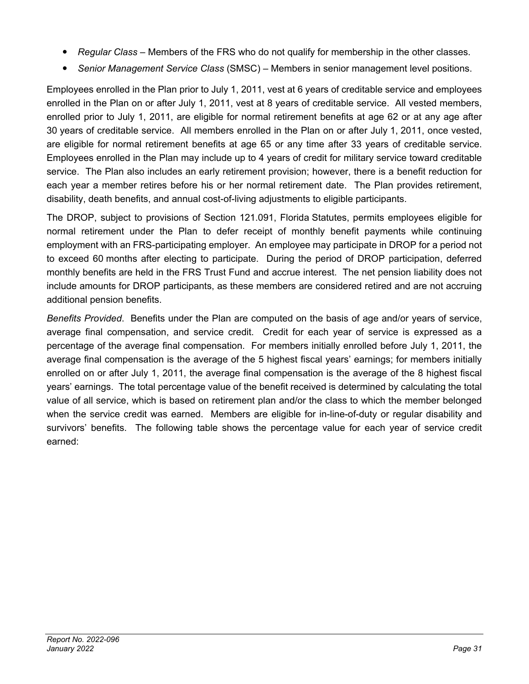- *Regular Class* Members of the FRS who do not qualify for membership in the other classes.
- *Senior Management Service Class* (SMSC) Members in senior management level positions.

Employees enrolled in the Plan prior to July 1, 2011, vest at 6 years of creditable service and employees enrolled in the Plan on or after July 1, 2011, vest at 8 years of creditable service. All vested members, enrolled prior to July 1, 2011, are eligible for normal retirement benefits at age 62 or at any age after 30 years of creditable service. All members enrolled in the Plan on or after July 1, 2011, once vested, are eligible for normal retirement benefits at age 65 or any time after 33 years of creditable service. Employees enrolled in the Plan may include up to 4 years of credit for military service toward creditable service. The Plan also includes an early retirement provision; however, there is a benefit reduction for each year a member retires before his or her normal retirement date. The Plan provides retirement, disability, death benefits, and annual cost-of-living adjustments to eligible participants.

The DROP, subject to provisions of Section 121.091, Florida Statutes, permits employees eligible for normal retirement under the Plan to defer receipt of monthly benefit payments while continuing employment with an FRS-participating employer. An employee may participate in DROP for a period not to exceed 60 months after electing to participate. During the period of DROP participation, deferred monthly benefits are held in the FRS Trust Fund and accrue interest. The net pension liability does not include amounts for DROP participants, as these members are considered retired and are not accruing additional pension benefits.

*Benefits Provided*. Benefits under the Plan are computed on the basis of age and/or years of service, average final compensation, and service credit. Credit for each year of service is expressed as a percentage of the average final compensation. For members initially enrolled before July 1, 2011, the average final compensation is the average of the 5 highest fiscal years' earnings; for members initially enrolled on or after July 1, 2011, the average final compensation is the average of the 8 highest fiscal years' earnings. The total percentage value of the benefit received is determined by calculating the total value of all service, which is based on retirement plan and/or the class to which the member belonged when the service credit was earned. Members are eligible for in-line-of-duty or regular disability and survivors' benefits. The following table shows the percentage value for each year of service credit earned: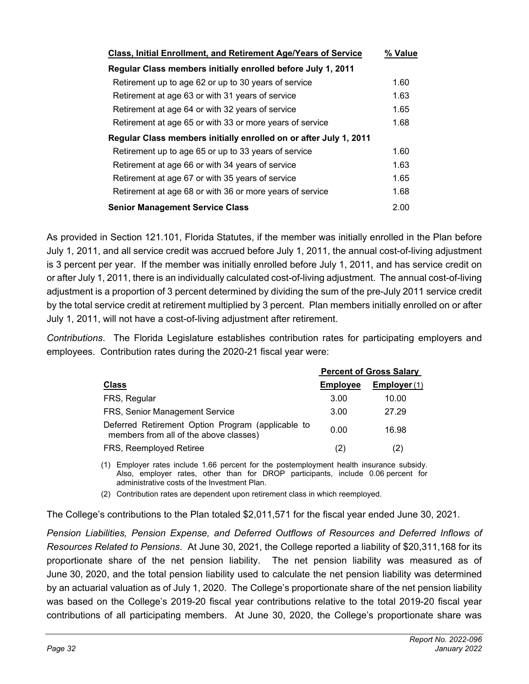| Class, Initial Enrollment, and Retirement Age/Years of Service    | % Value |
|-------------------------------------------------------------------|---------|
| Regular Class members initially enrolled before July 1, 2011      |         |
| Retirement up to age 62 or up to 30 years of service              | 1.60    |
| Retirement at age 63 or with 31 years of service                  | 1.63    |
| Retirement at age 64 or with 32 years of service                  | 1.65    |
| Retirement at age 65 or with 33 or more years of service          | 1.68    |
| Regular Class members initially enrolled on or after July 1, 2011 |         |
| Retirement up to age 65 or up to 33 years of service              | 1.60    |
| Retirement at age 66 or with 34 years of service                  | 1.63    |
| Retirement at age 67 or with 35 years of service                  | 1.65    |
| Retirement at age 68 or with 36 or more years of service          | 1.68    |
| <b>Senior Management Service Class</b>                            | 2.00    |

As provided in Section 121.101, Florida Statutes, if the member was initially enrolled in the Plan before July 1, 2011, and all service credit was accrued before July 1, 2011, the annual cost-of-living adjustment is 3 percent per year. If the member was initially enrolled before July 1, 2011, and has service credit on or after July 1, 2011, there is an individually calculated cost-of-living adjustment. The annual cost-of-living adjustment is a proportion of 3 percent determined by dividing the sum of the pre-July 2011 service credit by the total service credit at retirement multiplied by 3 percent. Plan members initially enrolled on or after July 1, 2011, will not have a cost-of-living adjustment after retirement.

*Contributions*. The Florida Legislature establishes contribution rates for participating employers and employees. Contribution rates during the 2020-21 fiscal year were:

|                                                                                             | <b>Percent of Gross Salary</b> |                |  |
|---------------------------------------------------------------------------------------------|--------------------------------|----------------|--|
| <b>Class</b>                                                                                | <b>Employee</b>                | Employer $(1)$ |  |
| FRS, Regular                                                                                | 3.00                           | 10.00          |  |
| <b>FRS, Senior Management Service</b>                                                       | 3.00                           | 27.29          |  |
| Deferred Retirement Option Program (applicable to<br>members from all of the above classes) | 0.00                           | 16.98          |  |
| FRS, Reemployed Retiree                                                                     | (2)                            | (2)            |  |

(1) Employer rates include 1.66 percent for the postemployment health insurance subsidy. Also, employer rates, other than for DROP participants, include 0.06 percent for administrative costs of the Investment Plan.

(2) Contribution rates are dependent upon retirement class in which reemployed.

The College's contributions to the Plan totaled \$2,011,571 for the fiscal year ended June 30, 2021.

*Pension Liabilities, Pension Expense, and Deferred Outflows of Resources and Deferred Inflows of Resources Related to Pensions*. At June 30, 2021, the College reported a liability of \$20,311,168 for its proportionate share of the net pension liability. The net pension liability was measured as of June 30, 2020, and the total pension liability used to calculate the net pension liability was determined by an actuarial valuation as of July 1, 2020. The College's proportionate share of the net pension liability was based on the College's 2019-20 fiscal year contributions relative to the total 2019-20 fiscal year contributions of all participating members. At June 30, 2020, the College's proportionate share was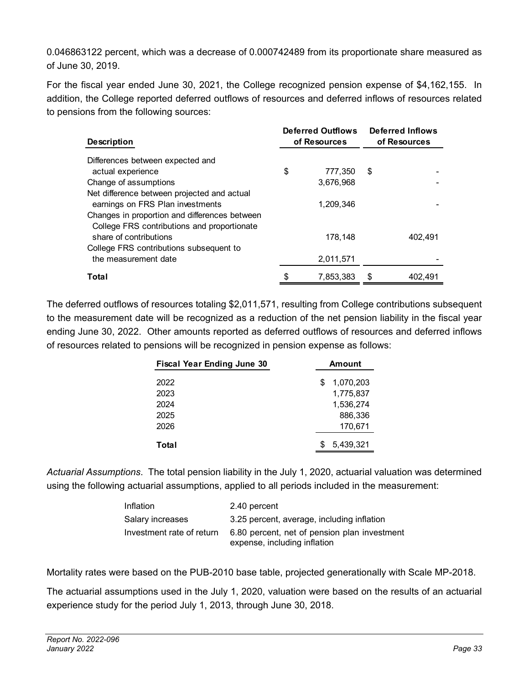0.046863122 percent, which was a decrease of 0.000742489 from its proportionate share measured as of June 30, 2019.

For the fiscal year ended June 30, 2021, the College recognized pension expense of \$4,162,155. In addition, the College reported deferred outflows of resources and deferred inflows of resources related to pensions from the following sources:

| <b>Description</b>                                                                           |    | <b>Deferred Outflows</b><br>of Resources | <b>Deferred Inflows</b><br>of Resources |         |
|----------------------------------------------------------------------------------------------|----|------------------------------------------|-----------------------------------------|---------|
| Differences between expected and                                                             |    |                                          |                                         |         |
| actual experience                                                                            | \$ | 777,350                                  | S                                       |         |
| Change of assumptions                                                                        |    | 3,676,968                                |                                         |         |
| Net difference between projected and actual<br>earnings on FRS Plan investments              |    | 1.209.346                                |                                         |         |
| Changes in proportion and differences between<br>College FRS contributions and proportionate |    |                                          |                                         |         |
| share of contributions                                                                       |    | 178.148                                  |                                         | 402.491 |
| College FRS contributions subsequent to                                                      |    |                                          |                                         |         |
| the measurement date                                                                         |    | 2,011,571                                |                                         |         |
| Total                                                                                        | \$ | 7,853,383                                | \$                                      | 402,491 |

The deferred outflows of resources totaling \$2,011,571, resulting from College contributions subsequent to the measurement date will be recognized as a reduction of the net pension liability in the fiscal year ending June 30, 2022. Other amounts reported as deferred outflows of resources and deferred inflows of resources related to pensions will be recognized in pension expense as follows:

| <b>Fiscal Year Ending June 30</b> | Amount          |
|-----------------------------------|-----------------|
| 2022                              | 1,070,203<br>\$ |
| 2023                              | 1,775,837       |
| 2024                              | 1,536,274       |
| 2025                              | 886,336         |
| 2026                              | 170,671         |
| Total                             | 5,439,321       |

*Actuarial Assumptions*. The total pension liability in the July 1, 2020, actuarial valuation was determined using the following actuarial assumptions, applied to all periods included in the measurement:

| Inflation                 | 2.40 percent                                                                 |
|---------------------------|------------------------------------------------------------------------------|
| Salary increases          | 3.25 percent, average, including inflation                                   |
| Investment rate of return | 6.80 percent, net of pension plan investment<br>expense, including inflation |

Mortality rates were based on the PUB-2010 base table, projected generationally with Scale MP-2018.

The actuarial assumptions used in the July 1, 2020, valuation were based on the results of an actuarial experience study for the period July 1, 2013, through June 30, 2018.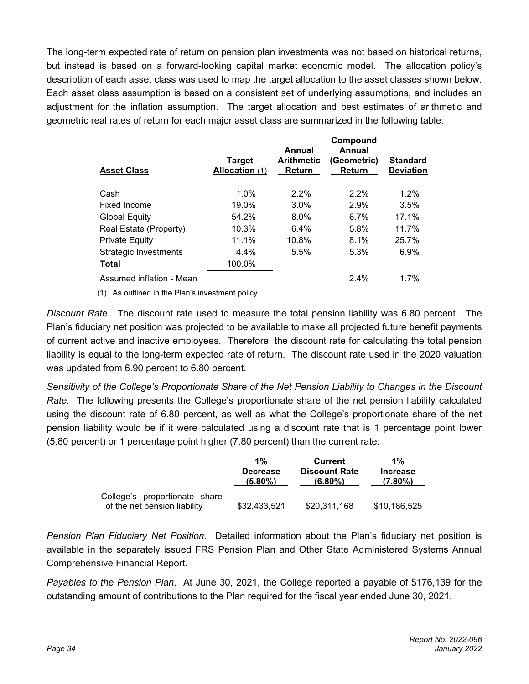The long-term expected rate of return on pension plan investments was not based on historical returns, but instead is based on a forward-looking capital market economic model. The allocation policy's description of each asset class was used to map the target allocation to the asset classes shown below. Each asset class assumption is based on a consistent set of underlying assumptions, and includes an adjustment for the inflation assumption. The target allocation and best estimates of arithmetic and geometric real rates of return for each major asset class are summarized in the following table:

| Asset Class              | <b>Target</b><br>Allocation (1) | Annual<br><b>Arithmetic</b><br><b>Return</b> | Compound<br>Annual<br>(Geometric)<br>Return | <b>Standard</b><br><b>Deviation</b> |
|--------------------------|---------------------------------|----------------------------------------------|---------------------------------------------|-------------------------------------|
| Cash                     | 1.0%                            | 2.2%                                         | 2.2%                                        | 1.2%                                |
| Fixed Income             | 19.0%                           | 3.0%                                         | 2.9%                                        | 3.5%                                |
| <b>Global Equity</b>     | 54.2%                           | 8.0%                                         | 6.7%                                        | 17.1%                               |
| Real Estate (Property)   | 10.3%                           | 6.4%                                         | 5.8%                                        | 11.7%                               |
| <b>Private Equity</b>    | 11.1%                           | 10.8%                                        | 8.1%                                        | 25.7%                               |
| Strategic Investments    | 4.4%                            | 5.5%                                         | 5.3%                                        | 6.9%                                |
| Total                    | 100.0%                          |                                              |                                             |                                     |
| Assumed inflation - Mean |                                 |                                              | 2.4%                                        | 1.7%                                |
|                          |                                 |                                              |                                             |                                     |

(1) As outlined in the Plan's investment policy.

*Discount Rate*. The discount rate used to measure the total pension liability was 6.80 percent. The Plan's fiduciary net position was projected to be available to make all projected future benefit payments of current active and inactive employees. Therefore, the discount rate for calculating the total pension liability is equal to the long-term expected rate of return. The discount rate used in the 2020 valuation was updated from 6.90 percent to 6.80 percent.

*Sensitivity of the College's Proportionate Share of the Net Pension Liability to Changes in the Discount Rate*. The following presents the College's proportionate share of the net pension liability calculated using the discount rate of 6.80 percent, as well as what the College's proportionate share of the net pension liability would be if it were calculated using a discount rate that is 1 percentage point lower (5.80 percent) or 1 percentage point higher (7.80 percent) than the current rate:

|                                                               | $1\%$           | Current              | 1%              |
|---------------------------------------------------------------|-----------------|----------------------|-----------------|
|                                                               | <b>Decrease</b> | <b>Discount Rate</b> | <b>Increase</b> |
|                                                               | $(5.80\%)$      | $(6.80\%)$           | $(7.80\%)$      |
| College's proportionate share<br>of the net pension liability | \$32,433,521    | \$20,311,168         | \$10,186,525    |

*Pension Plan Fiduciary Net Position*. Detailed information about the Plan's fiduciary net position is available in the separately issued FRS Pension Plan and Other State Administered Systems Annual Comprehensive Financial Report.

*Payables to the Pension Plan*. At June 30, 2021, the College reported a payable of \$176,139 for the outstanding amount of contributions to the Plan required for the fiscal year ended June 30, 2021.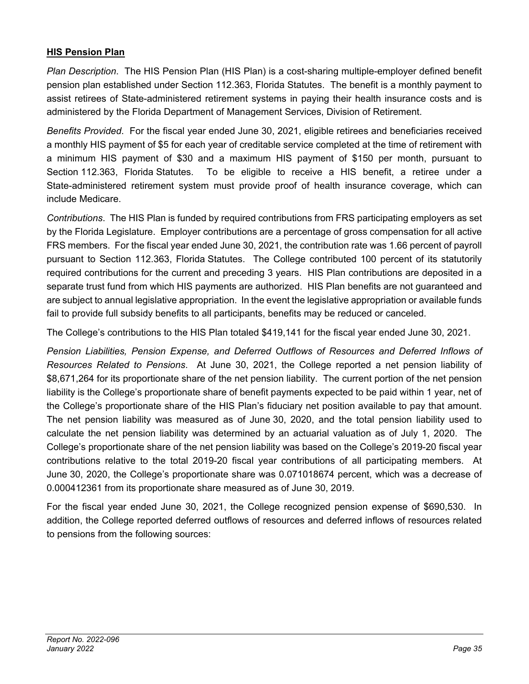## **HIS Pension Plan**

*Plan Description*. The HIS Pension Plan (HIS Plan) is a cost-sharing multiple-employer defined benefit pension plan established under Section 112.363, Florida Statutes. The benefit is a monthly payment to assist retirees of State-administered retirement systems in paying their health insurance costs and is administered by the Florida Department of Management Services, Division of Retirement.

*Benefits Provided*. For the fiscal year ended June 30, 2021, eligible retirees and beneficiaries received a monthly HIS payment of \$5 for each year of creditable service completed at the time of retirement with a minimum HIS payment of \$30 and a maximum HIS payment of \$150 per month, pursuant to Section 112.363, Florida Statutes. To be eligible to receive a HIS benefit, a retiree under a State-administered retirement system must provide proof of health insurance coverage, which can include Medicare.

*Contributions*. The HIS Plan is funded by required contributions from FRS participating employers as set by the Florida Legislature. Employer contributions are a percentage of gross compensation for all active FRS members. For the fiscal year ended June 30, 2021, the contribution rate was 1.66 percent of payroll pursuant to Section 112.363, Florida Statutes. The College contributed 100 percent of its statutorily required contributions for the current and preceding 3 years. HIS Plan contributions are deposited in a separate trust fund from which HIS payments are authorized. HIS Plan benefits are not guaranteed and are subject to annual legislative appropriation. In the event the legislative appropriation or available funds fail to provide full subsidy benefits to all participants, benefits may be reduced or canceled.

The College's contributions to the HIS Plan totaled \$419,141 for the fiscal year ended June 30, 2021.

*Pension Liabilities, Pension Expense, and Deferred Outflows of Resources and Deferred Inflows of Resources Related to Pensions*. At June 30, 2021, the College reported a net pension liability of \$8,671,264 for its proportionate share of the net pension liability. The current portion of the net pension liability is the College's proportionate share of benefit payments expected to be paid within 1 year, net of the College's proportionate share of the HIS Plan's fiduciary net position available to pay that amount. The net pension liability was measured as of June 30, 2020, and the total pension liability used to calculate the net pension liability was determined by an actuarial valuation as of July 1, 2020. The College's proportionate share of the net pension liability was based on the College's 2019-20 fiscal year contributions relative to the total 2019-20 fiscal year contributions of all participating members. At June 30, 2020, the College's proportionate share was 0.071018674 percent, which was a decrease of 0.000412361 from its proportionate share measured as of June 30, 2019.

For the fiscal year ended June 30, 2021, the College recognized pension expense of \$690,530. In addition, the College reported deferred outflows of resources and deferred inflows of resources related to pensions from the following sources: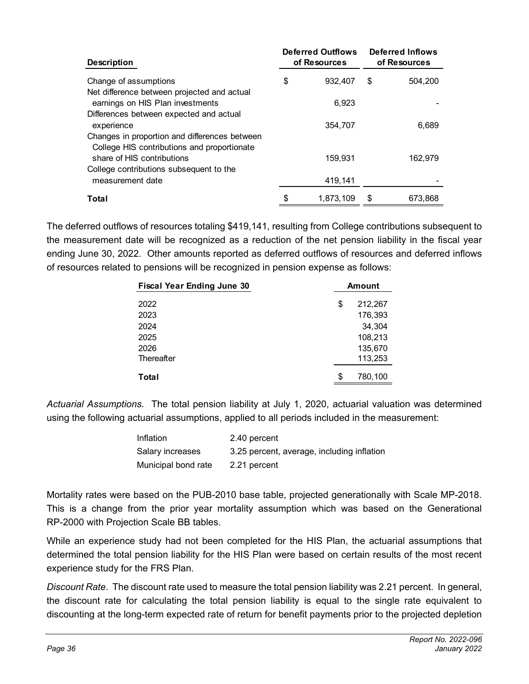| <b>Description</b>                                                                           | <b>Deferred Outflows</b><br>of Resources |   | Deferred Inflows<br>of Resources |
|----------------------------------------------------------------------------------------------|------------------------------------------|---|----------------------------------|
| Change of assumptions                                                                        | \$<br>932,407                            | S | 504,200                          |
| Net difference between projected and actual<br>earnings on HIS Plan investments              | 6,923                                    |   |                                  |
| Differences between expected and actual<br>experience                                        | 354.707                                  |   | 6,689                            |
| Changes in proportion and differences between<br>College HIS contributions and proportionate |                                          |   |                                  |
| share of HIS contributions<br>College contributions subsequent to the                        | 159.931                                  |   | 162,979                          |
| measurement date                                                                             | 419,141                                  |   |                                  |
| Total                                                                                        | \$<br>1,873,109                          | S | 673,868                          |

The deferred outflows of resources totaling \$419,141, resulting from College contributions subsequent to the measurement date will be recognized as a reduction of the net pension liability in the fiscal year ending June 30, 2022. Other amounts reported as deferred outflows of resources and deferred inflows of resources related to pensions will be recognized in pension expense as follows:

| <b>Fiscal Year Ending June 30</b> | <b>Amount</b> |  |  |  |  |
|-----------------------------------|---------------|--|--|--|--|
| 2022                              | \$<br>212,267 |  |  |  |  |
| 2023                              | 176,393       |  |  |  |  |
| 2024                              | 34,304        |  |  |  |  |
| 2025                              | 108,213       |  |  |  |  |
| 2026                              | 135,670       |  |  |  |  |
| Thereafter                        | 113,253       |  |  |  |  |
| Total                             | \$<br>780,100 |  |  |  |  |

*Actuarial Assumptions.* The total pension liability at July 1, 2020, actuarial valuation was determined using the following actuarial assumptions, applied to all periods included in the measurement:

| Inflation           | 2.40 percent                               |
|---------------------|--------------------------------------------|
| Salary increases    | 3.25 percent, average, including inflation |
| Municipal bond rate | 2.21 percent                               |

Mortality rates were based on the PUB-2010 base table, projected generationally with Scale MP-2018. This is a change from the prior year mortality assumption which was based on the Generational RP-2000 with Projection Scale BB tables.

While an experience study had not been completed for the HIS Plan, the actuarial assumptions that determined the total pension liability for the HIS Plan were based on certain results of the most recent experience study for the FRS Plan.

*Discount Rate*. The discount rate used to measure the total pension liability was 2.21 percent. In general, the discount rate for calculating the total pension liability is equal to the single rate equivalent to discounting at the long-term expected rate of return for benefit payments prior to the projected depletion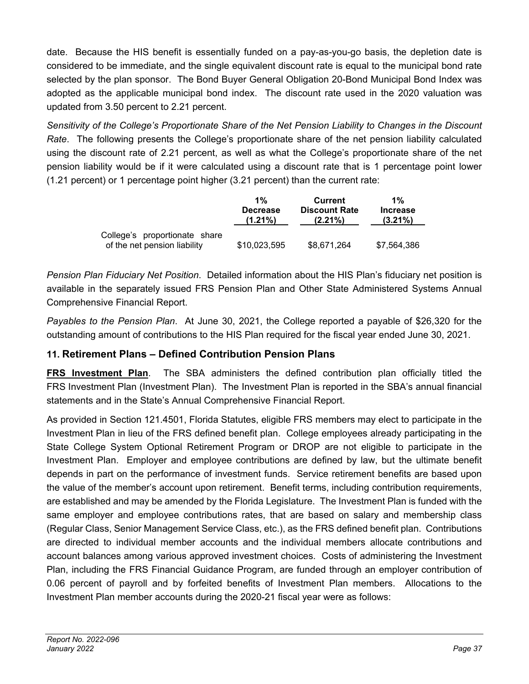date. Because the HIS benefit is essentially funded on a pay-as-you-go basis, the depletion date is considered to be immediate, and the single equivalent discount rate is equal to the municipal bond rate selected by the plan sponsor. The Bond Buyer General Obligation 20-Bond Municipal Bond Index was adopted as the applicable municipal bond index. The discount rate used in the 2020 valuation was updated from 3.50 percent to 2.21 percent.

*Sensitivity of the College's Proportionate Share of the Net Pension Liability to Changes in the Discount Rate*. The following presents the College's proportionate share of the net pension liability calculated using the discount rate of 2.21 percent, as well as what the College's proportionate share of the net pension liability would be if it were calculated using a discount rate that is 1 percentage point lower (1.21 percent) or 1 percentage point higher (3.21 percent) than the current rate:

|                                                               | 1%              | <b>Current</b>       | $1\%$           |
|---------------------------------------------------------------|-----------------|----------------------|-----------------|
|                                                               | <b>Decrease</b> | <b>Discount Rate</b> | <b>Increase</b> |
|                                                               | $(1.21\%)$      | $(2.21\%)$           | $(3.21\%)$      |
| College's proportionate share<br>of the net pension liability | \$10,023,595    | \$8,671,264          | \$7.564.386     |

*Pension Plan Fiduciary Net Position*. Detailed information about the HIS Plan's fiduciary net position is available in the separately issued FRS Pension Plan and Other State Administered Systems Annual Comprehensive Financial Report.

*Payables to the Pension Plan*. At June 30, 2021, the College reported a payable of \$26,320 for the outstanding amount of contributions to the HIS Plan required for the fiscal year ended June 30, 2021.

## **11. Retirement Plans – Defined Contribution Pension Plans**

**FRS Investment Plan**. The SBA administers the defined contribution plan officially titled the FRS Investment Plan (Investment Plan). The Investment Plan is reported in the SBA's annual financial statements and in the State's Annual Comprehensive Financial Report.

As provided in Section 121.4501, Florida Statutes, eligible FRS members may elect to participate in the Investment Plan in lieu of the FRS defined benefit plan. College employees already participating in the State College System Optional Retirement Program or DROP are not eligible to participate in the Investment Plan. Employer and employee contributions are defined by law, but the ultimate benefit depends in part on the performance of investment funds. Service retirement benefits are based upon the value of the member's account upon retirement. Benefit terms, including contribution requirements, are established and may be amended by the Florida Legislature. The Investment Plan is funded with the same employer and employee contributions rates, that are based on salary and membership class (Regular Class, Senior Management Service Class, etc.), as the FRS defined benefit plan. Contributions are directed to individual member accounts and the individual members allocate contributions and account balances among various approved investment choices. Costs of administering the Investment Plan, including the FRS Financial Guidance Program, are funded through an employer contribution of 0.06 percent of payroll and by forfeited benefits of Investment Plan members. Allocations to the Investment Plan member accounts during the 2020-21 fiscal year were as follows: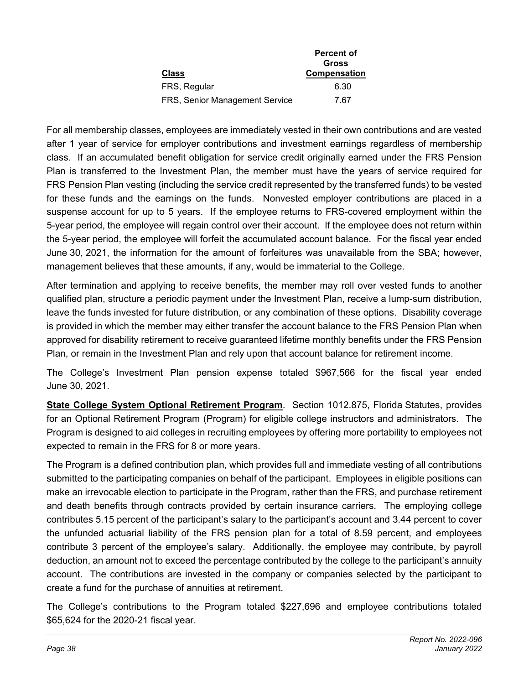|                                | <b>Percent of</b> |
|--------------------------------|-------------------|
|                                | Gross             |
| <b>Class</b>                   | Compensation      |
| FRS, Regular                   | 6.30              |
| FRS, Senior Management Service | 7.67              |

For all membership classes, employees are immediately vested in their own contributions and are vested after 1 year of service for employer contributions and investment earnings regardless of membership class. If an accumulated benefit obligation for service credit originally earned under the FRS Pension Plan is transferred to the Investment Plan, the member must have the years of service required for FRS Pension Plan vesting (including the service credit represented by the transferred funds) to be vested for these funds and the earnings on the funds. Nonvested employer contributions are placed in a suspense account for up to 5 years. If the employee returns to FRS-covered employment within the 5-year period, the employee will regain control over their account. If the employee does not return within the 5-year period, the employee will forfeit the accumulated account balance. For the fiscal year ended June 30, 2021, the information for the amount of forfeitures was unavailable from the SBA; however, management believes that these amounts, if any, would be immaterial to the College.

After termination and applying to receive benefits, the member may roll over vested funds to another qualified plan, structure a periodic payment under the Investment Plan, receive a lump-sum distribution, leave the funds invested for future distribution, or any combination of these options. Disability coverage is provided in which the member may either transfer the account balance to the FRS Pension Plan when approved for disability retirement to receive guaranteed lifetime monthly benefits under the FRS Pension Plan, or remain in the Investment Plan and rely upon that account balance for retirement income.

The College's Investment Plan pension expense totaled \$967,566 for the fiscal year ended June 30, 2021.

**State College System Optional Retirement Program**. Section 1012.875, Florida Statutes, provides for an Optional Retirement Program (Program) for eligible college instructors and administrators. The Program is designed to aid colleges in recruiting employees by offering more portability to employees not expected to remain in the FRS for 8 or more years.

The Program is a defined contribution plan, which provides full and immediate vesting of all contributions submitted to the participating companies on behalf of the participant. Employees in eligible positions can make an irrevocable election to participate in the Program, rather than the FRS, and purchase retirement and death benefits through contracts provided by certain insurance carriers. The employing college contributes 5.15 percent of the participant's salary to the participant's account and 3.44 percent to cover the unfunded actuarial liability of the FRS pension plan for a total of 8.59 percent, and employees contribute 3 percent of the employee's salary. Additionally, the employee may contribute, by payroll deduction, an amount not to exceed the percentage contributed by the college to the participant's annuity account. The contributions are invested in the company or companies selected by the participant to create a fund for the purchase of annuities at retirement.

The College's contributions to the Program totaled \$227,696 and employee contributions totaled \$65,624 for the 2020-21 fiscal year.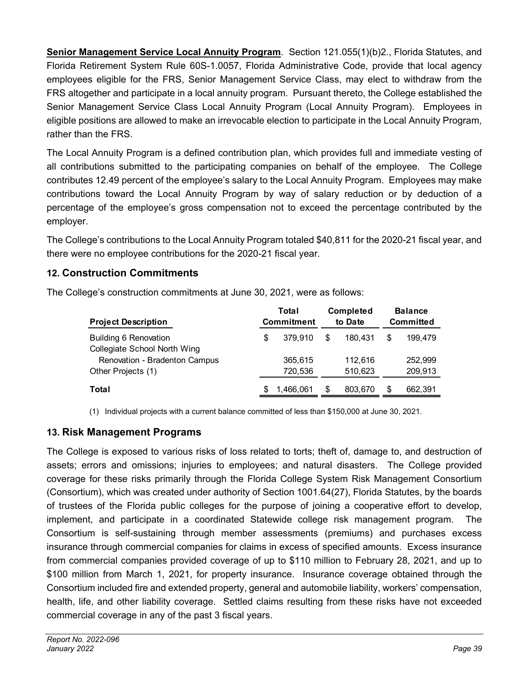**Senior Management Service Local Annuity Program**. Section 121.055(1)(b)2., Florida Statutes, and Florida Retirement System Rule 60S-1.0057, Florida Administrative Code, provide that local agency employees eligible for the FRS, Senior Management Service Class, may elect to withdraw from the FRS altogether and participate in a local annuity program. Pursuant thereto, the College established the Senior Management Service Class Local Annuity Program (Local Annuity Program). Employees in eligible positions are allowed to make an irrevocable election to participate in the Local Annuity Program, rather than the FRS.

The Local Annuity Program is a defined contribution plan, which provides full and immediate vesting of all contributions submitted to the participating companies on behalf of the employee. The College contributes 12.49 percent of the employee's salary to the Local Annuity Program. Employees may make contributions toward the Local Annuity Program by way of salary reduction or by deduction of a percentage of the employee's gross compensation not to exceed the percentage contributed by the employer.

The College's contributions to the Local Annuity Program totaled \$40,811 for the 2020-21 fiscal year, and there were no employee contributions for the 2020-21 fiscal year.

## **12. Construction Commitments**

The College's construction commitments at June 30, 2021, were as follows:

| <b>Project Description</b>                                   |   | Total<br><b>Commitment</b> |     | <b>Completed</b><br>to Date | <b>Balance</b><br>Committed |         |  |
|--------------------------------------------------------------|---|----------------------------|-----|-----------------------------|-----------------------------|---------|--|
| <b>Building 6 Renovation</b><br>Collegiate School North Wing | S | 379.910                    | \$. | 180.431                     | \$.                         | 199.479 |  |
| Renovation - Bradenton Campus                                |   | 365,615                    |     | 112,616                     |                             | 252.999 |  |
| Other Projects (1)                                           |   | 720,536                    |     | 510,623                     |                             | 209,913 |  |
| Total                                                        |   | 1.466.061                  | \$  | 803.670                     | S                           | 662.391 |  |

(1) Individual projects with a current balance committed of less than \$150,000 at June 30, 2021.

## **13. Risk Management Programs**

The College is exposed to various risks of loss related to torts; theft of, damage to, and destruction of assets; errors and omissions; injuries to employees; and natural disasters. The College provided coverage for these risks primarily through the Florida College System Risk Management Consortium (Consortium), which was created under authority of Section 1001.64(27), Florida Statutes, by the boards of trustees of the Florida public colleges for the purpose of joining a cooperative effort to develop, implement, and participate in a coordinated Statewide college risk management program. The Consortium is self-sustaining through member assessments (premiums) and purchases excess insurance through commercial companies for claims in excess of specified amounts. Excess insurance from commercial companies provided coverage of up to \$110 million to February 28, 2021, and up to \$100 million from March 1, 2021, for property insurance. Insurance coverage obtained through the Consortium included fire and extended property, general and automobile liability, workers' compensation, health, life, and other liability coverage. Settled claims resulting from these risks have not exceeded commercial coverage in any of the past 3 fiscal years.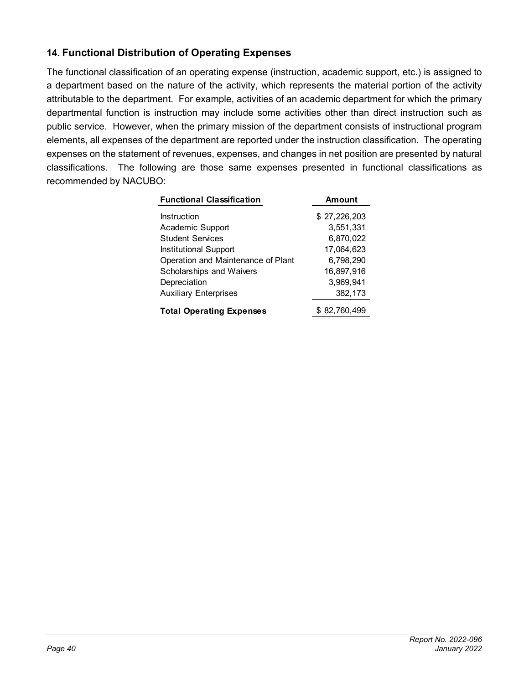## **14. Functional Distribution of Operating Expenses**

The functional classification of an operating expense (instruction, academic support, etc.) is assigned to a department based on the nature of the activity, which represents the material portion of the activity attributable to the department. For example, activities of an academic department for which the primary departmental function is instruction may include some activities other than direct instruction such as public service. However, when the primary mission of the department consists of instructional program elements, all expenses of the department are reported under the instruction classification. The operating expenses on the statement of revenues, expenses, and changes in net position are presented by natural classifications. The following are those same expenses presented in functional classifications as recommended by NACUBO:

| <b>Functional Classification</b>   | Amount       |
|------------------------------------|--------------|
| Instruction                        | \$27,226,203 |
| Academic Support                   | 3,551,331    |
| <b>Student Services</b>            | 6,870,022    |
| Institutional Support              | 17,064,623   |
| Operation and Maintenance of Plant | 6,798,290    |
| Scholarships and Waivers           | 16,897,916   |
| Depreciation                       | 3,969,941    |
| <b>Auxiliary Enterprises</b>       | 382,173      |
| <b>Total Operating Expenses</b>    | \$82,760,499 |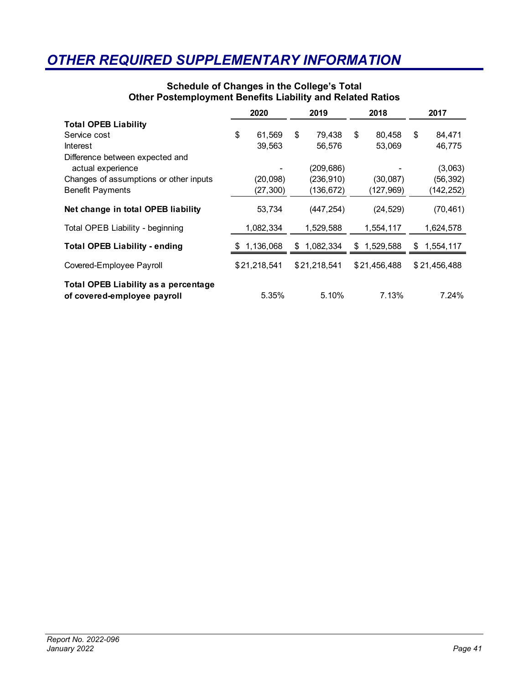## <span id="page-44-0"></span>*OTHER REQUIRED SUPPLEMENTARY INFORMATION*

|                                                                            | 2020           |           | 2019 |              | 2018         | 2017 |              |
|----------------------------------------------------------------------------|----------------|-----------|------|--------------|--------------|------|--------------|
| <b>Total OPEB Liability</b>                                                |                |           |      |              |              |      |              |
| Service cost                                                               | \$             | 61,569    | \$   | 79.438       | \$<br>80,458 | \$   | 84,471       |
| <b>Interest</b>                                                            |                | 39,563    |      | 56,576       | 53,069       |      | 46,775       |
| Difference between expected and                                            |                |           |      |              |              |      |              |
| actual experience                                                          |                |           |      | (209, 686)   |              |      | (3,063)      |
| Changes of assumptions or other inputs                                     |                | (20, 098) |      | (236, 910)   | (30, 087)    |      | (56, 392)    |
| <b>Benefit Payments</b>                                                    |                | (27, 300) |      | (136,672)    | (127,969)    |      | (142, 252)   |
| Net change in total OPEB liability                                         |                | 53,734    |      | (447, 254)   | (24, 529)    |      | (70, 461)    |
| Total OPEB Liability - beginning                                           | 1,082,334      |           |      | 1,529,588    | 1,554,117    |      | 1,624,578    |
| <b>Total OPEB Liability - ending</b>                                       | 1,136,068<br>S |           | S    | 1,082,334    | \$1,529,588  | S    | 1,554,117    |
| Covered-Employee Payroll                                                   | \$21,218,541   |           |      | \$21,218,541 | \$21,456,488 |      | \$21,456,488 |
| <b>Total OPEB Liability as a percentage</b><br>of covered-employee payroll |                | 5.35%     |      | 5.10%        | 7.13%        |      | 7.24%        |

#### **Schedule of Changes in the College's Total Other Postemployment Benefits Liability and Related Ratios**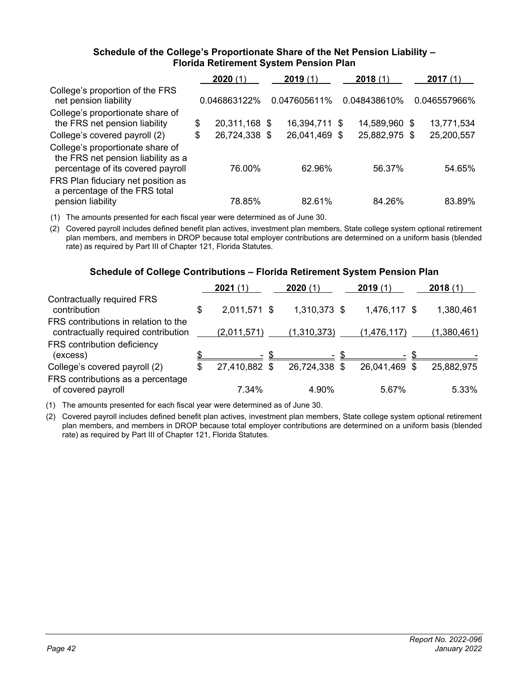#### **Schedule of the College's Proportionate Share of the Net Pension Liability – Florida Retirement System Pension Plan**

<span id="page-45-0"></span>

|                                                                                                             | 2020(1)             | 2019(1)       | 2018(1)       | 2017(1)      |
|-------------------------------------------------------------------------------------------------------------|---------------------|---------------|---------------|--------------|
| College's proportion of the FRS<br>net pension liability<br>College's proportionate share of                | 0.046863122%        | 0.047605611%  | 0.048438610%  | 0.046557966% |
| the FRS net pension liability                                                                               | \$<br>20,311,168 \$ | 16,394,711 \$ | 14,589,960 \$ | 13,771,534   |
| College's covered payroll (2)                                                                               | \$<br>26,724,338 \$ | 26,041,469 \$ | 25,882,975 \$ | 25,200,557   |
| College's proportionate share of<br>the FRS net pension liability as a<br>percentage of its covered payroll | 76.00%              | 62.96%        | 56.37%        | 54.65%       |
| FRS Plan fiduciary net position as<br>a percentage of the FRS total<br>pension liability                    | 78.85%              | 82.61%        | 84.26%        | 83.89%       |

(1) The amounts presented for each fiscal year were determined as of June 30.

(2) Covered payroll includes defined benefit plan actives, investment plan members, State college system optional retirement plan members, and members in DROP because total employer contributions are determined on a uniform basis (blended rate) as required by Part III of Chapter 121, Florida Statutes.

#### **Schedule of College Contributions – Florida Retirement System Pension Plan**

|                                                                             | 2021(1)             | 2020(1)      | 2019(1)          | 2018(1)          |
|-----------------------------------------------------------------------------|---------------------|--------------|------------------|------------------|
| <b>Contractually required FRS</b><br>contribution                           | \$<br>2,011,571 \$  | 1,310,373 \$ | 1,476,117 \$     | 1,380,461        |
| FRS contributions in relation to the<br>contractually required contribution | (2,011,571)         | (1,310,373)  | (1,476,117)      | (1,380,461)      |
| FRS contribution deficiency<br>(excess)                                     |                     |              |                  |                  |
| College's covered payroll (2)<br>FRS contributions as a percentage          | \$<br>27,410,882 \$ | 26,724,338   | \$<br>26,041,469 | \$<br>25,882,975 |
| of covered payroll                                                          | 7.34%               | 4.90%        | 5.67%            | 5.33%            |

(1) The amounts presented for each fiscal year were determined as of June 30.

(2) Covered payroll includes defined benefit plan actives, investment plan members, State college system optional retirement plan members, and members in DROP because total employer contributions are determined on a uniform basis (blended rate) as required by Part III of Chapter 121, Florida Statutes.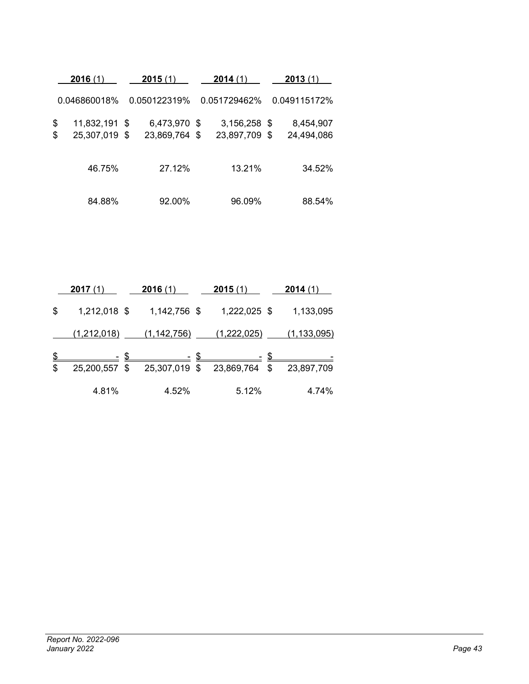| 2016(1) |               |      | 2015(1)       |      | 2014(1)       | 2013(1) |              |  |  |  |
|---------|---------------|------|---------------|------|---------------|---------|--------------|--|--|--|
|         | 0.046860018%  |      | 0.050122319%  |      | 0.051729462%  |         | 0.049115172% |  |  |  |
| \$      | 11,832,191    | - \$ | 6,473,970     | - \$ | 3,156,258 \$  |         | 8,454,907    |  |  |  |
| \$      | 25,307,019 \$ |      | 23,869,764 \$ |      | 23,897,709 \$ |         | 24,494,086   |  |  |  |
|         | 46.75%        |      | 27.12%        |      | 13.21%        |         | 34.52%       |  |  |  |
|         | 84.88%        |      | 92.00%        |      | 96.09%        |         | 88.54%       |  |  |  |

| 2017(1)             | 2016(1)       | 2015(1)           | 2014(1)       |
|---------------------|---------------|-------------------|---------------|
| \$<br>1,212,018 \$  | 1,142,756 \$  | 1,222,025 \$      | 1,133,095     |
| (1,212,018)         | (1, 142, 756) | (1,222,025)       | (1, 133, 095) |
| \$<br>25,200,557 \$ | 25,307,019 \$ | -\$<br>23,869,764 | 23,897,709    |
| 4.81%               | 4.52%         | 5.12%             | 4.74%         |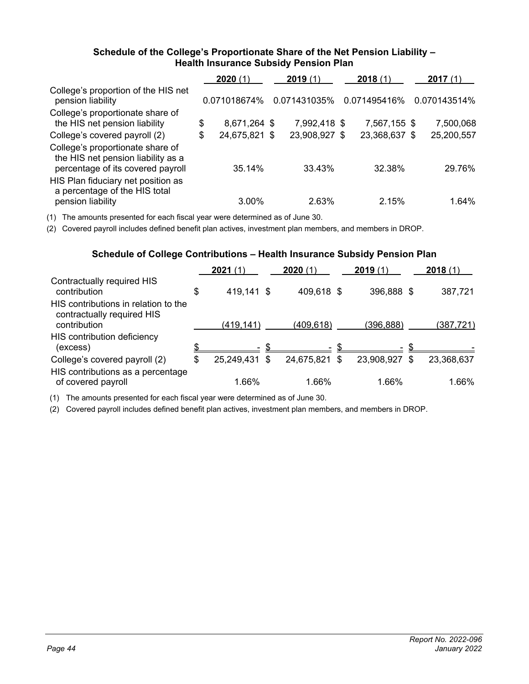#### **Schedule of the College's Proportionate Share of the Net Pension Liability – Health Insurance Subsidy Pension Plan**

<span id="page-47-0"></span>

|                                                                                                             | 2020(1)             | 2019(1)       | 2018(1)       | 2017 (1      |
|-------------------------------------------------------------------------------------------------------------|---------------------|---------------|---------------|--------------|
| College's proportion of the HIS net<br>pension liability<br>College's proportionate share of                | 0.071018674%        | 0.071431035%  | 0.071495416%  | 0.070143514% |
| the HIS net pension liability                                                                               | \$<br>8,671,264 \$  | 7,992,418 \$  | 7,567,155 \$  | 7,500,068    |
| College's covered payroll (2)                                                                               | \$<br>24,675,821 \$ | 23,908,927 \$ | 23,368,637 \$ | 25,200,557   |
| College's proportionate share of<br>the HIS net pension liability as a<br>percentage of its covered payroll | 35.14%              | 33.43%        | 32.38%        | 29.76%       |
| HIS Plan fiduciary net position as<br>a percentage of the HIS total<br>pension liability                    | 3.00%               | 2.63%         | 2.15%         | 1.64%        |

(1) The amounts presented for each fiscal year were determined as of June 30.

(2) Covered payroll includes defined benefit plan actives, investment plan members, and members in DROP.

#### **Schedule of College Contributions – Health Insurance Subsidy Pension Plan**

|                                                                    | 2021(1)          | 2020(1)             | 2019(1)    | 2018(1)          |
|--------------------------------------------------------------------|------------------|---------------------|------------|------------------|
| Contractually required HIS<br>contribution                         | \$<br>419,141 \$ | 409,618 \$          | 396,888 \$ | 387,721          |
| HIS contributions in relation to the<br>contractually required HIS |                  |                     |            |                  |
| contribution                                                       | (419, 141)       | (409, 618)          | (396,888)  | (387,721)        |
| HIS contribution deficiency<br>(excess)                            |                  |                     |            |                  |
| College's covered payroll (2)                                      | \$<br>25,249,431 | \$<br>24,675,821 \$ | 23,908,927 | \$<br>23,368,637 |
| HIS contributions as a percentage<br>of covered payroll            | 1.66%            | 1.66%               | 1.66%      | 1.66%            |

(1) The amounts presented for each fiscal year were determined as of June 30.

(2) Covered payroll includes defined benefit plan actives, investment plan members, and members in DROP.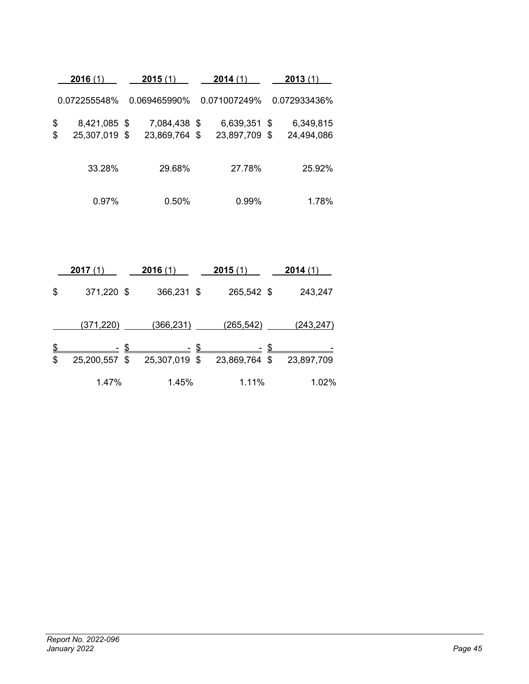|    | 2016(1)       |  | 2015(1)       |  | 2014(1)       | 2013 (1 |              |  |  |
|----|---------------|--|---------------|--|---------------|---------|--------------|--|--|
|    | 0.072255548%  |  | 0.069465990%  |  | 0.071007249%  |         | 0.072933436% |  |  |
| \$ | 8,421,085 \$  |  | 7,084,438 \$  |  | 6,639,351     | - \$    | 6,349,815    |  |  |
| \$ | 25,307,019 \$ |  | 23,869,764 \$ |  | 23,897,709 \$ |         | 24,494,086   |  |  |
|    | 33.28%        |  | 29.68%        |  | 27.78%        |         | 25.92%       |  |  |
|    | 0.97%         |  | 0.50%         |  | $0.99\%$      |         | 1.78%        |  |  |

| 2017(1)             | 2016(1)       | 2015(1)       | 2014(1)    |
|---------------------|---------------|---------------|------------|
| \$<br>371,220 \$    | 366,231 \$    | 265,542 \$    | 243,247    |
| (371, 220)          | (366, 231)    | (265, 542)    | (243, 247) |
|                     | - SS          |               |            |
| \$<br>25,200,557 \$ | 25,307,019 \$ | 23,869,764 \$ | 23,897,709 |
| 1.47%               | 1.45%         | 1.11%         | 1.02%      |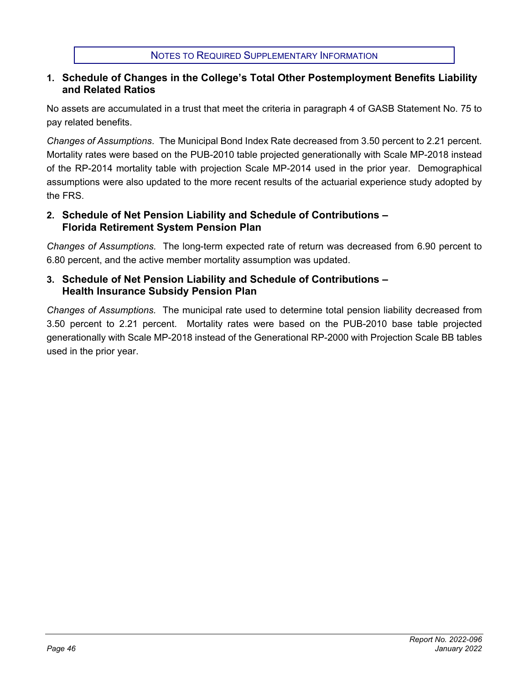## <span id="page-49-0"></span>**1. Schedule of Changes in the College's Total Other Postemployment Benefits Liability and Related Ratios**

No assets are accumulated in a trust that meet the criteria in paragraph 4 of GASB Statement No. 75 to pay related benefits.

*Changes of Assumptions*. The Municipal Bond Index Rate decreased from 3.50 percent to 2.21 percent. Mortality rates were based on the PUB-2010 table projected generationally with Scale MP-2018 instead of the RP-2014 mortality table with projection Scale MP-2014 used in the prior year. Demographical assumptions were also updated to the more recent results of the actuarial experience study adopted by the FRS.

## **2. Schedule of Net Pension Liability and Schedule of Contributions – Florida Retirement System Pension Plan**

*Changes of Assumptions.* The long-term expected rate of return was decreased from 6.90 percent to 6.80 percent, and the active member mortality assumption was updated.

## **3. Schedule of Net Pension Liability and Schedule of Contributions – Health Insurance Subsidy Pension Plan**

*Changes of Assumptions.* The municipal rate used to determine total pension liability decreased from 3.50 percent to 2.21 percent. Mortality rates were based on the PUB-2010 base table projected generationally with Scale MP-2018 instead of the Generational RP-2000 with Projection Scale BB tables used in the prior year.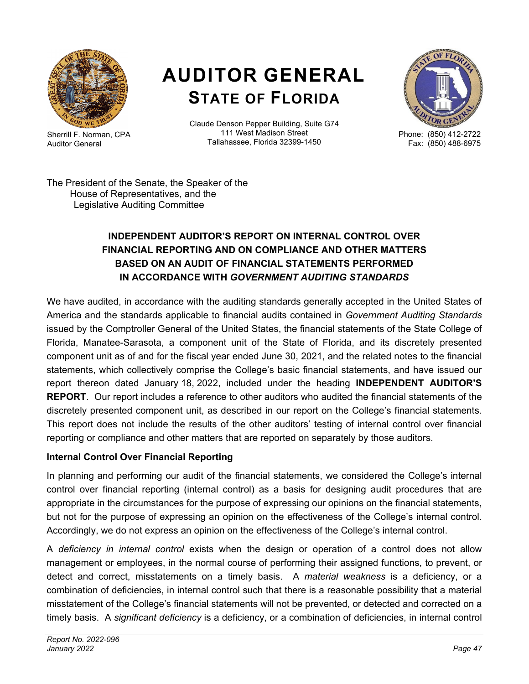<span id="page-50-0"></span>

Sherrill F. Norman, CPA Auditor General

# **AUDITOR GENERAL STATE OF FLORIDA**

Claude Denson Pepper Building, Suite G74 111 West Madison Street Tallahassee, Florida 32399-1450



Phone: (850) 412-2722 Fax: (850) 488-6975

The President of the Senate, the Speaker of the House of Representatives, and the Legislative Auditing Committee

## **INDEPENDENT AUDITOR'S REPORT ON INTERNAL CONTROL OVER FINANCIAL REPORTING AND ON COMPLIANCE AND OTHER MATTERS BASED ON AN AUDIT OF FINANCIAL STATEMENTS PERFORMED IN ACCORDANCE WITH** *GOVERNMENT AUDITING STANDARDS*

We have audited, in accordance with the auditing standards generally accepted in the United States of America and the standards applicable to financial audits contained in *Government Auditing Standards* issued by the Comptroller General of the United States, the financial statements of the State College of Florida, Manatee-Sarasota, a component unit of the State of Florida, and its discretely presented component unit as of and for the fiscal year ended June 30, 2021, and the related notes to the financial statements, which collectively comprise the College's basic financial statements, and have issued our report thereon dated January 18, 2022, included under the heading **INDEPENDENT AUDITOR'S REPORT**. Our report includes a reference to other auditors who audited the financial statements of the discretely presented component unit, as described in our report on the College's financial statements. This report does not include the results of the other auditors' testing of internal control over financial reporting or compliance and other matters that are reported on separately by those auditors.

## **Internal Control Over Financial Reporting**

In planning and performing our audit of the financial statements, we considered the College's internal control over financial reporting (internal control) as a basis for designing audit procedures that are appropriate in the circumstances for the purpose of expressing our opinions on the financial statements, but not for the purpose of expressing an opinion on the effectiveness of the College's internal control. Accordingly, we do not express an opinion on the effectiveness of the College's internal control.

A *deficiency in internal control* exists when the design or operation of a control does not allow management or employees, in the normal course of performing their assigned functions, to prevent, or detect and correct, misstatements on a timely basis. A *material weakness* is a deficiency, or a combination of deficiencies, in internal control such that there is a reasonable possibility that a material misstatement of the College's financial statements will not be prevented, or detected and corrected on a timely basis. A *significant deficiency* is a deficiency, or a combination of deficiencies, in internal control